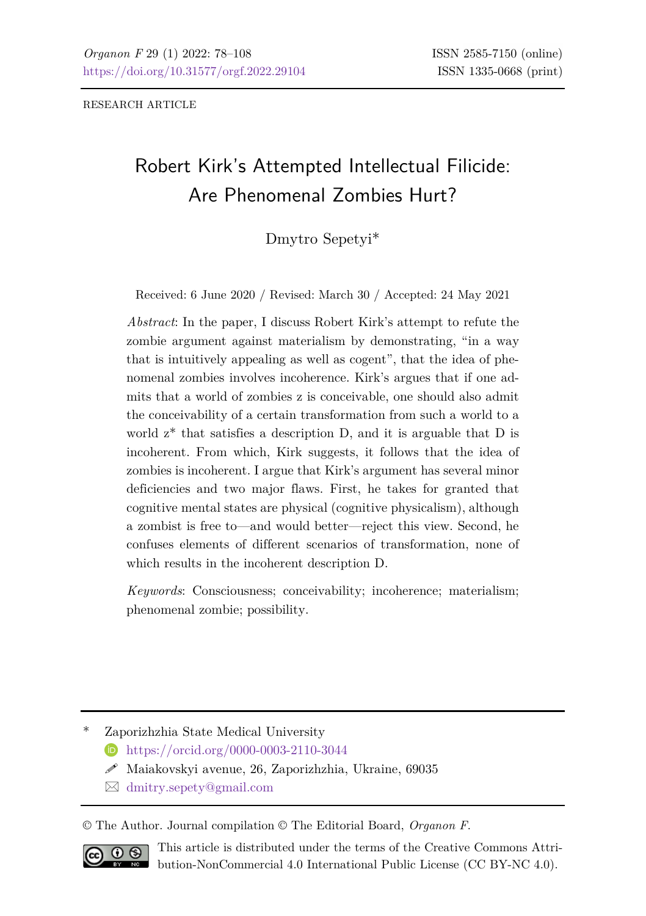RESEARCH ARTICLE

# Robert Kirk's Attempted Intellectual Filicide: Are Phenomenal Zombies Hurt?

### Dmytro Sepetyi\*

Received: 6 June 2020 / Revised: March 30 / Accepted: 24 May 2021

*Abstract*: In the paper, I discuss Robert Kirk's attempt to refute the zombie argument against materialism by demonstrating, "in a way that is intuitively appealing as well as cogent", that the idea of phenomenal zombies involves incoherence. Kirk's argues that if one admits that a world of zombies z is conceivable, one should also admit the conceivability of a certain transformation from such a world to a world  $z^*$  that satisfies a description D, and it is arguable that D is incoherent. From which, Kirk suggests, it follows that the idea of zombies is incoherent. I argue that Kirk's argument has several minor deficiencies and two major flaws. First, he takes for granted that cognitive mental states are physical (cognitive physicalism), although a zombist is free to—and would better—reject this view. Second, he confuses elements of different scenarios of transformation, none of which results in the incoherent description D.

*Keywords*: Consciousness; conceivability; incoherence; materialism; phenomenal zombie; possibility.

\* Zaporizhzhia State Medical University

- <https://orcid.org/0000-0003-2110-3044>
- $\mathscr N$  Maiakovskyi avenue, 26, Zaporizhzhia, Ukraine, 69035
- [dmitry.sepety@gmail.com](mailto:dmitry.sepety@gmail.com)

© The Author. Journal compilation © The Editorial Board, *Organon F*.



This article is distributed under the terms of the Creative Commons Attribution-NonCommercial 4.0 International Public License (CC BY-NC 4.0).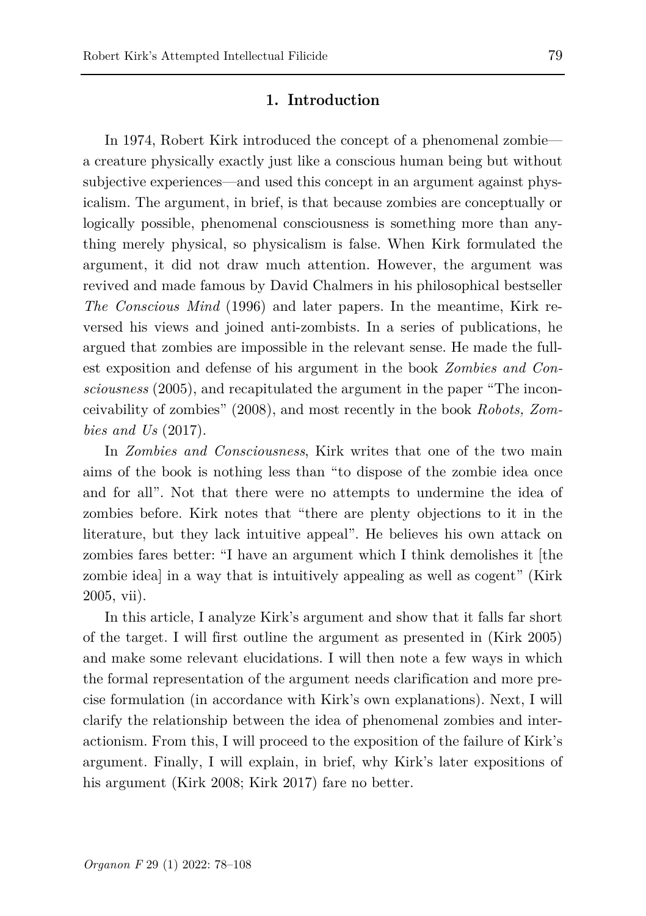#### **1. Introduction**

In 1974, Robert Kirk introduced the concept of a phenomenal zombie a creature physically exactly just like a conscious human being but without subjective experiences—and used this concept in an argument against physicalism. The argument, in brief, is that because zombies are conceptually or logically possible, phenomenal consciousness is something more than anything merely physical, so physicalism is false. When Kirk formulated the argument, it did not draw much attention. However, the argument was revived and made famous by David Chalmers in his philosophical bestseller *The Conscious Mind* (1996) and later papers. In the meantime, Kirk reversed his views and joined anti-zombists. In a series of publications, he argued that zombies are impossible in the relevant sense. He made the fullest exposition and defense of his argument in the book *Zombies and Consciousness* (2005), and recapitulated the argument in the paper "The inconceivability of zombies" (2008), and most recently in the book *Robots, Zombies and Us* (2017).

In *Zombies and Consciousness*, Kirk writes that one of the two main aims of the book is nothing less than "to dispose of the zombie idea once and for all". Not that there were no attempts to undermine the idea of zombies before. Kirk notes that "there are plenty objections to it in the literature, but they lack intuitive appeal". He believes his own attack on zombies fares better: "I have an argument which I think demolishes it [the zombie idea] in a way that is intuitively appealing as well as cogent" (Kirk 2005, vii).

In this article, I analyze Kirk's argument and show that it falls far short of the target. I will first outline the argument as presented in (Kirk 2005) and make some relevant elucidations. I will then note a few ways in which the formal representation of the argument needs clarification and more precise formulation (in accordance with Kirk's own explanations). Next, I will clarify the relationship between the idea of phenomenal zombies and interactionism. From this, I will proceed to the exposition of the failure of Kirk's argument. Finally, I will explain, in brief, why Kirk's later expositions of his argument (Kirk 2008; Kirk 2017) fare no better.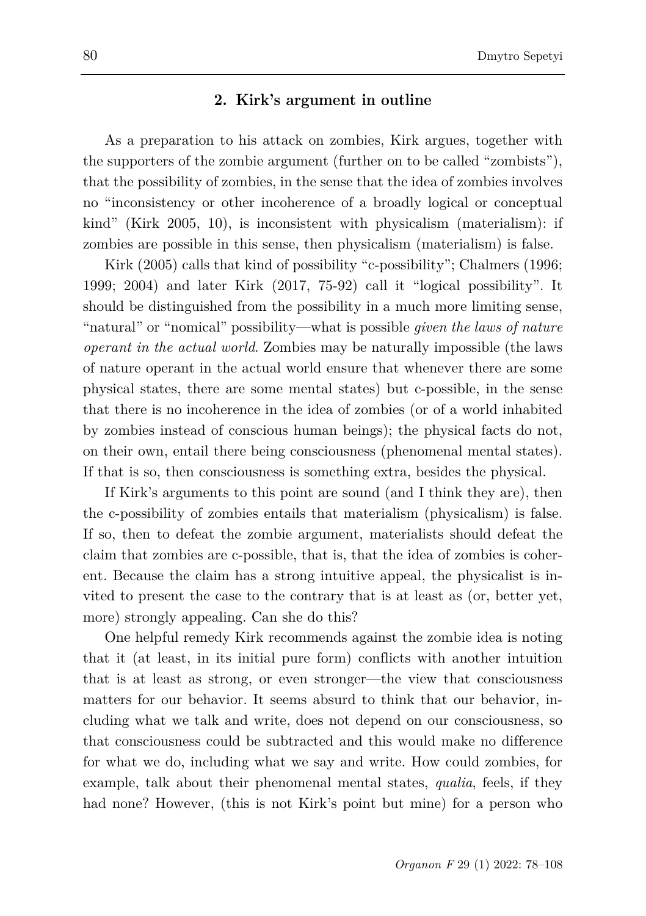#### **2. Kirk's argument in outline**

As a preparation to his attack on zombies, Kirk argues, together with the supporters of the zombie argument (further on to be called "zombists"), that the possibility of zombies, in the sense that the idea of zombies involves no "inconsistency or other incoherence of a broadly logical or conceptual kind" (Kirk 2005, 10), is inconsistent with physicalism (materialism): if zombies are possible in this sense, then physicalism (materialism) is false.

Kirk (2005) calls that kind of possibility "c-possibility"; Chalmers (1996; 1999; 2004) and later Kirk (2017, 75-92) call it "logical possibility". It should be distinguished from the possibility in a much more limiting sense, "natural" or "nomical" possibility—what is possible *given the laws of nature operant in the actual world*. Zombies may be naturally impossible (the laws of nature operant in the actual world ensure that whenever there are some physical states, there are some mental states) but c-possible, in the sense that there is no incoherence in the idea of zombies (or of a world inhabited by zombies instead of conscious human beings); the physical facts do not, on their own, entail there being consciousness (phenomenal mental states). If that is so, then consciousness is something extra, besides the physical.

If Kirk's arguments to this point are sound (and I think they are), then the c-possibility of zombies entails that materialism (physicalism) is false. If so, then to defeat the zombie argument, materialists should defeat the claim that zombies are c-possible, that is, that the idea of zombies is coherent. Because the claim has a strong intuitive appeal, the physicalist is invited to present the case to the contrary that is at least as (or, better yet, more) strongly appealing. Can she do this?

One helpful remedy Kirk recommends against the zombie idea is noting that it (at least, in its initial pure form) conflicts with another intuition that is at least as strong, or even stronger—the view that consciousness matters for our behavior. It seems absurd to think that our behavior, including what we talk and write, does not depend on our consciousness, so that consciousness could be subtracted and this would make no difference for what we do, including what we say and write. How could zombies, for example, talk about their phenomenal mental states, *qualia*, feels, if they had none? However, (this is not Kirk's point but mine) for a person who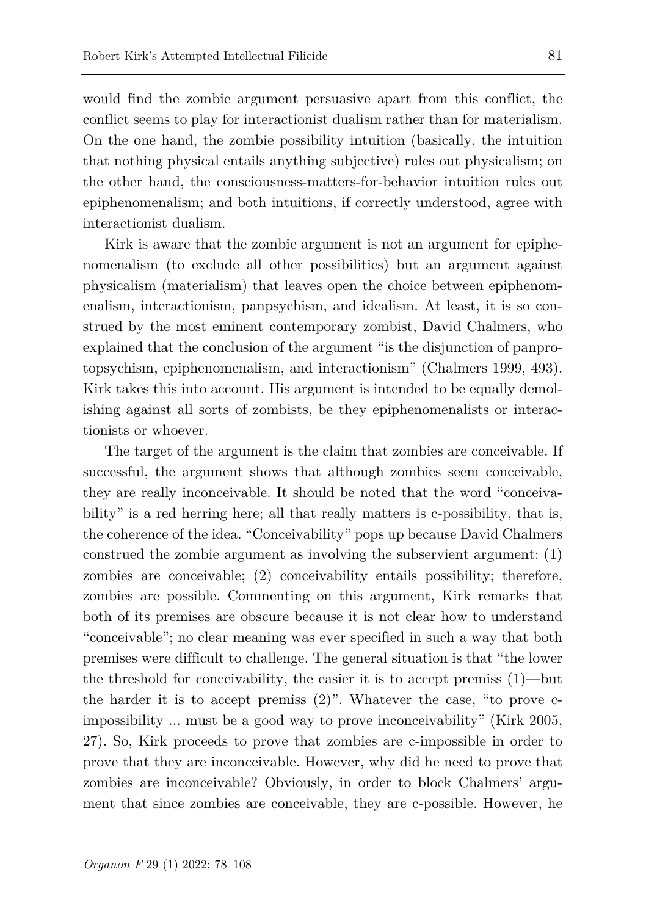would find the zombie argument persuasive apart from this conflict, the conflict seems to play for interactionist dualism rather than for materialism. On the one hand, the zombie possibility intuition (basically, the intuition that nothing physical entails anything subjective) rules out physicalism; on the other hand, the consciousness-matters-for-behavior intuition rules out epiphenomenalism; and both intuitions, if correctly understood, agree with interactionist dualism.

Kirk is aware that the zombie argument is not an argument for epiphenomenalism (to exclude all other possibilities) but an argument against physicalism (materialism) that leaves open the choice between epiphenomenalism, interactionism, panpsychism, and idealism. At least, it is so construed by the most eminent contemporary zombist, David Chalmers, who explained that the conclusion of the argument "is the disjunction of panprotopsychism, epiphenomenalism, and interactionism" (Chalmers 1999, 493). Kirk takes this into account. His argument is intended to be equally demolishing against all sorts of zombists, be they epiphenomenalists or interactionists or whoever.

The target of the argument is the claim that zombies are conceivable. If successful, the argument shows that although zombies seem conceivable, they are really inconceivable. It should be noted that the word "conceivability" is a red herring here; all that really matters is c-possibility, that is, the coherence of the idea. "Conceivability" pops up because David Chalmers construed the zombie argument as involving the subservient argument: (1) zombies are conceivable; (2) conceivability entails possibility; therefore, zombies are possible. Commenting on this argument, Kirk remarks that both of its premises are obscure because it is not clear how to understand "conceivable"; no clear meaning was ever specified in such a way that both premises were difficult to challenge. The general situation is that "the lower the threshold for conceivability, the easier it is to accept premiss (1)—but the harder it is to accept premiss  $(2)$ ". Whatever the case, "to prove cimpossibility ... must be a good way to prove inconceivability" (Kirk 2005, 27). So, Kirk proceeds to prove that zombies are c-impossible in order to prove that they are inconceivable. However, why did he need to prove that zombies are inconceivable? Obviously, in order to block Chalmers' argument that since zombies are conceivable, they are c-possible. However, he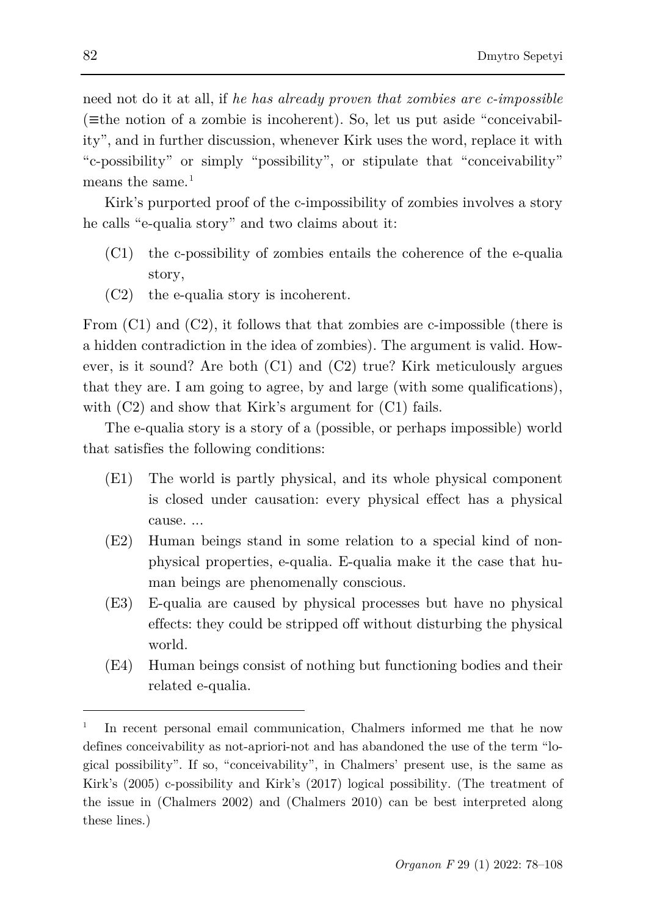need not do it at all, if *he has already proven that zombies are c-impossible* (≡the notion of a zombie is incoherent). So, let us put aside "conceivability", and in further discussion, whenever Kirk uses the word, replace it with "c-possibility" or simply "possibility", or stipulate that "conceivability" means the same. $1$ 

Kirk's purported proof of the c-impossibility of zombies involves a story he calls "e-qualia story" and two claims about it:

- (C1) the c-possibility of zombies entails the coherence of the e-qualia story,
- (C2) the e-qualia story is incoherent.

From  $(C1)$  and  $(C2)$ , it follows that that zombies are c-impossible (there is a hidden contradiction in the idea of zombies). The argument is valid. However, is it sound? Are both (C1) and (C2) true? Kirk meticulously argues that they are. I am going to agree, by and large (with some qualifications), with  $(C2)$  and show that Kirk's argument for  $(C1)$  fails.

The e-qualia story is a story of a (possible, or perhaps impossible) world that satisfies the following conditions:

- (E1) The world is partly physical, and its whole physical component is closed under causation: every physical effect has a physical cause. ...
- (E2) Human beings stand in some relation to a special kind of nonphysical properties, e-qualia. E-qualia make it the case that human beings are phenomenally conscious.
- (E3) E-qualia are caused by physical processes but have no physical effects: they could be stripped off without disturbing the physical world.
- (E4) Human beings consist of nothing but functioning bodies and their related e-qualia.

<span id="page-4-0"></span><sup>1</sup> In recent personal email communication, Chalmers informed me that he now defines conceivability as not-apriori-not and has abandoned the use of the term "logical possibility". If so, "conceivability", in Chalmers' present use, is the same as Kirk's (2005) c-possibility and Kirk's (2017) logical possibility. (The treatment of the issue in (Chalmers 2002) and (Chalmers 2010) can be best interpreted along these lines.)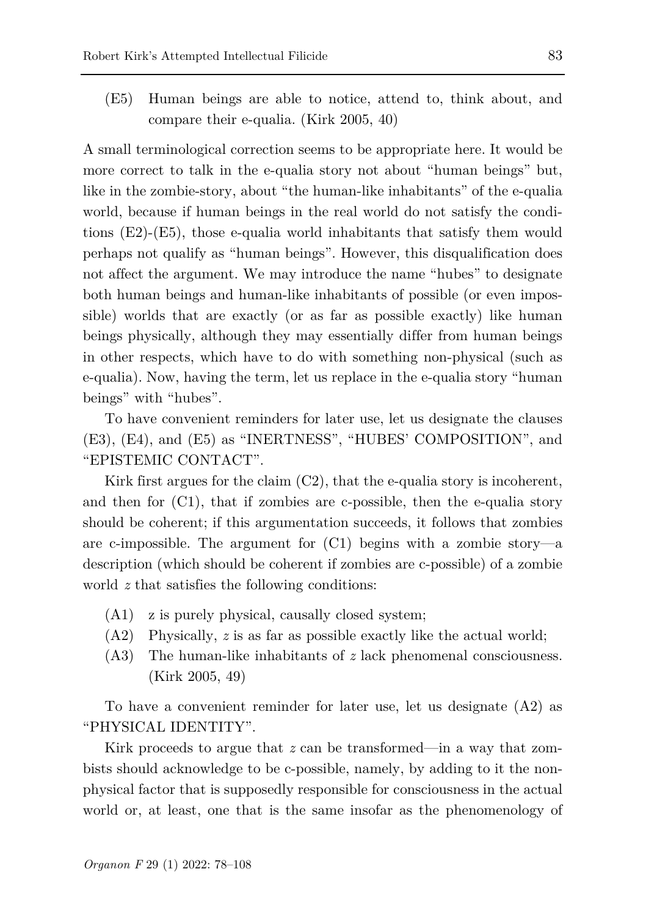(E5) Human beings are able to notice, attend to, think about, and compare their e-qualia. (Kirk 2005, 40)

A small terminological correction seems to be appropriate here. It would be more correct to talk in the e-qualia story not about "human beings" but, like in the zombie-story, about "the human-like inhabitants" of the e-qualia world, because if human beings in the real world do not satisfy the conditions (E2)-(E5), those e-qualia world inhabitants that satisfy them would perhaps not qualify as "human beings". However, this disqualification does not affect the argument. We may introduce the name "hubes" to designate both human beings and human-like inhabitants of possible (or even impossible) worlds that are exactly (or as far as possible exactly) like human beings physically, although they may essentially differ from human beings in other respects, which have to do with something non-physical (such as e-qualia). Now, having the term, let us replace in the e-qualia story "human beings" with "hubes".

To have convenient reminders for later use, let us designate the clauses (E3), (E4), and (E5) as "INERTNESS", "HUBES' COMPOSITION", and "EPISTEMIC CONTACT".

Kirk first argues for the claim  $(C2)$ , that the e-qualia story is incoherent, and then for  $(C1)$ , that if zombies are c-possible, then the e-qualia story should be coherent; if this argumentation succeeds, it follows that zombies are c-impossible. The argument for  $(C1)$  begins with a zombie story—a description (which should be coherent if zombies are c-possible) of a zombie world *z* that satisfies the following conditions:

- (A1) z is purely physical, causally closed system;
- (A2) Physically, *z* is as far as possible exactly like the actual world;
- (A3) The human-like inhabitants of *z* lack phenomenal consciousness. (Kirk 2005, 49)

To have a convenient reminder for later use, let us designate (A2) as "PHYSICAL IDENTITY".

Kirk proceeds to argue that *z* can be transformed—in a way that zombists should acknowledge to be c-possible, namely, by adding to it the nonphysical factor that is supposedly responsible for consciousness in the actual world or, at least, one that is the same insofar as the phenomenology of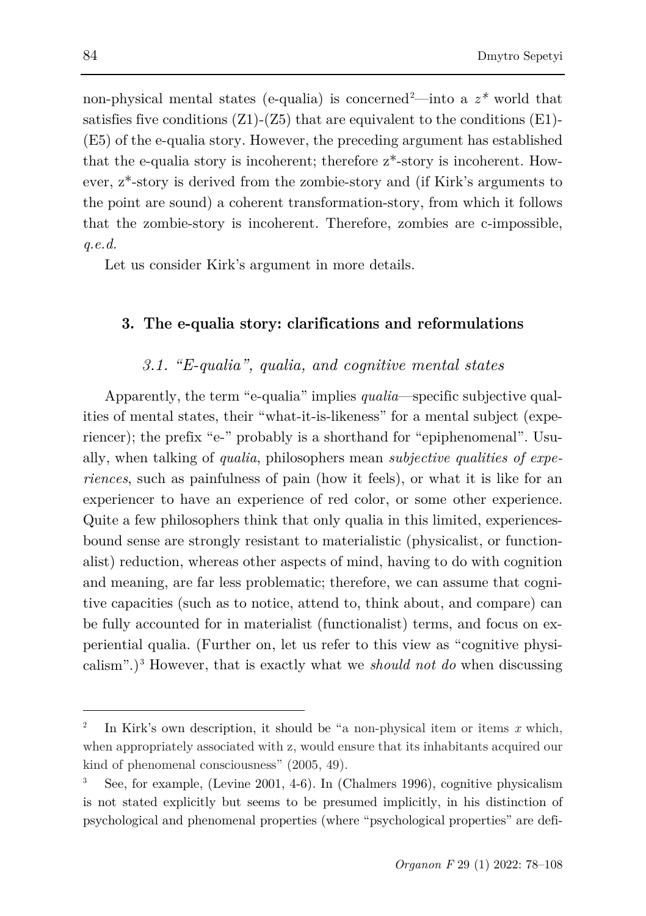non-physical mental states (e-qualia) is concerned<sup>[2](#page-6-0)</sup>—into a  $z^*$  world that satisfies five conditions  $(Z1)$ - $(Z5)$  that are equivalent to the conditions  $(E1)$ -(E5) of the e-qualia story. However, the preceding argument has established that the e-qualia story is incoherent; therefore z\*-story is incoherent. However, z\*-story is derived from the zombie-story and (if Kirk's arguments to the point are sound) a coherent transformation-story, from which it follows that the zombie-story is incoherent. Therefore, zombies are c-impossible, *q.e.d.*

Let us consider Kirk's argument in more details.

### **3. The e-qualia story: clarifications and reformulations**

### *3.1. "E-qualia", qualia, and cognitive mental states*

Apparently, the term "e-qualia" implies *qualia*—specific subjective qualities of mental states, their "what-it-is-likeness" for a mental subject (experiencer); the prefix "e-" probably is a shorthand for "epiphenomenal". Usually, when talking of *qualia*, philosophers mean *subjective qualities of experiences*, such as painfulness of pain (how it feels), or what it is like for an experiencer to have an experience of red color, or some other experience. Quite a few philosophers think that only qualia in this limited, experiencesbound sense are strongly resistant to materialistic (physicalist, or functionalist) reduction, whereas other aspects of mind, having to do with cognition and meaning, are far less problematic; therefore, we can assume that cognitive capacities (such as to notice, attend to, think about, and compare) can be fully accounted for in materialist (functionalist) terms, and focus on experiential qualia. (Further on, let us refer to this view as "cognitive physicalism".)[3](#page-6-1) However, that is exactly what we *should not do* when discussing

<span id="page-6-0"></span><sup>2</sup> In Kirk's own description, it should be "a non-physical item or items *x* which, when appropriately associated with z, would ensure that its inhabitants acquired our kind of phenomenal consciousness" (2005, 49).

<span id="page-6-1"></span><sup>3</sup> See, for example, (Levine 2001, 4-6). In (Chalmers 1996), cognitive physicalism is not stated explicitly but seems to be presumed implicitly, in his distinction of psychological and phenomenal properties (where "psychological properties" are defi-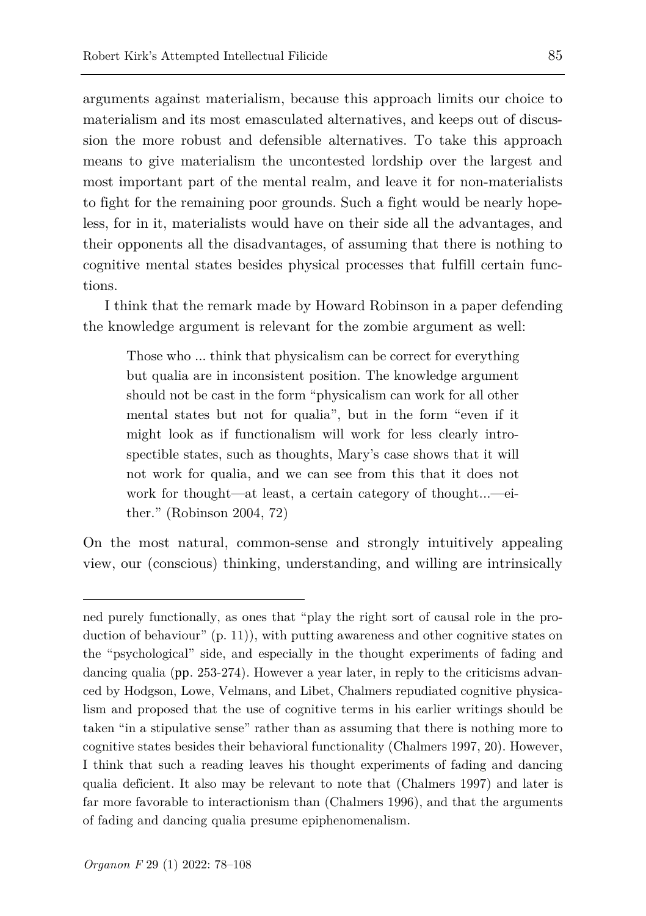arguments against materialism, because this approach limits our choice to materialism and its most emasculated alternatives, and keeps out of discussion the more robust and defensible alternatives. To take this approach means to give materialism the uncontested lordship over the largest and most important part of the mental realm, and leave it for non-materialists to fight for the remaining poor grounds. Such a fight would be nearly hopeless, for in it, materialists would have on their side all the advantages, and their opponents all the disadvantages, of assuming that there is nothing to cognitive mental states besides physical processes that fulfill certain functions.

I think that the remark made by Howard Robinson in a paper defending the knowledge argument is relevant for the zombie argument as well:

Those who ... think that physicalism can be correct for everything but qualia are in inconsistent position. The knowledge argument should not be cast in the form "physicalism can work for all other mental states but not for qualia", but in the form "even if it might look as if functionalism will work for less clearly introspectible states, such as thoughts, Mary's case shows that it will not work for qualia, and we can see from this that it does not work for thought—at least, a certain category of thought...—either." (Robinson 2004, 72)

On the most natural, common-sense and strongly intuitively appealing view, our (conscious) thinking, understanding, and willing are intrinsically

ned purely functionally, as ones that "play the right sort of causal role in the production of behaviour" (p. 11)), with putting awareness and other cognitive states on the "psychological" side, and especially in the thought experiments of fading and dancing qualia (рр. 253-274). However a year later, in reply to the criticisms advanced by Hodgson, Lowe, Velmans, and Libet, Chalmers repudiated cognitive physicalism and proposed that the use of cognitive terms in his earlier writings should be taken "in a stipulative sense" rather than as assuming that there is nothing more to cognitive states besides their behavioral functionality (Chalmers 1997, 20). However, I think that such a reading leaves his thought experiments of fading and dancing qualia deficient. It also may be relevant to note that (Chalmers 1997) and later is far more favorable to interactionism than (Chalmers 1996), and that the arguments of fading and dancing qualia presume epiphenomenalism.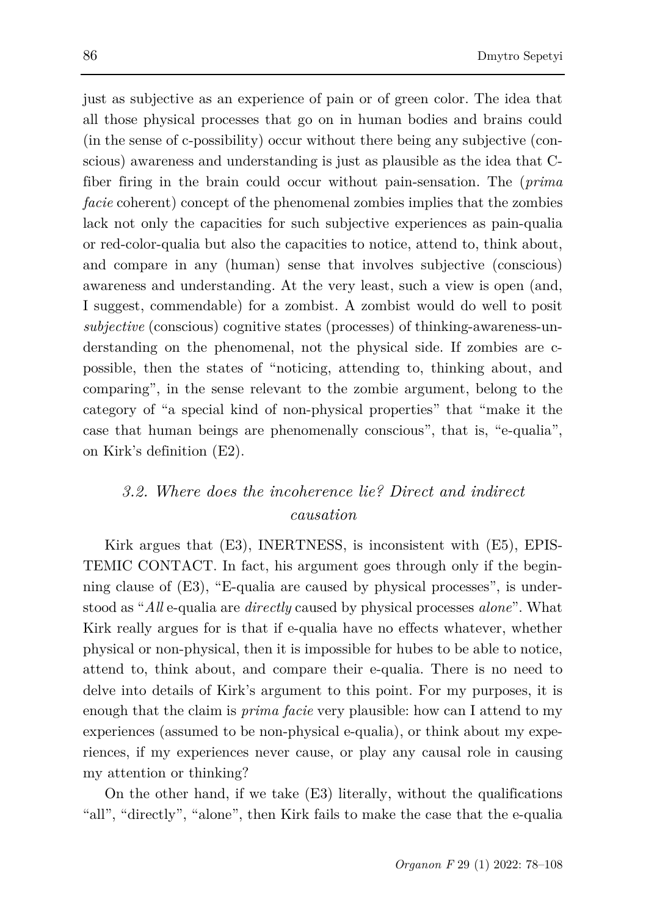just as subjective as an experience of pain or of green color. The idea that all those physical processes that go on in human bodies and brains could (in the sense of c-possibility) occur without there being any subjective (conscious) awareness and understanding is just as plausible as the idea that Cfiber firing in the brain could occur without pain-sensation. The (*prima facie* coherent) concept of the phenomenal zombies implies that the zombies lack not only the capacities for such subjective experiences as pain-qualia or red-color-qualia but also the capacities to notice, attend to, think about, and compare in any (human) sense that involves subjective (conscious) awareness and understanding. At the very least, such a view is open (and, I suggest, commendable) for a zombist. A zombist would do well to posit *subjective* (conscious) cognitive states (processes) of thinking-awareness-understanding on the phenomenal, not the physical side. If zombies are cpossible, then the states of "noticing, attending to, thinking about, and comparing", in the sense relevant to the zombie argument, belong to the category of "a special kind of non-physical properties" that "make it the case that human beings are phenomenally conscious", that is, "e-qualia", on Kirk's definition (E2).

### *3.2. Where does the incoherence lie? Direct and indirect causation*

Kirk argues that (E3), INERTNESS, is inconsistent with (E5), EPIS-TEMIC CONTACT. In fact, his argument goes through only if the beginning clause of (E3), "E-qualia are caused by physical processes", is understood as "*All* e-qualia are *directly* caused by physical processes *alone*". What Kirk really argues for is that if e-qualia have no effects whatever, whether physical or non-physical, then it is impossible for hubes to be able to notice, attend to, think about, and compare their e-qualia. There is no need to delve into details of Kirk's argument to this point. For my purposes, it is enough that the claim is *prima facie* very plausible: how can I attend to my experiences (assumed to be non-physical e-qualia), or think about my experiences, if my experiences never cause, or play any causal role in causing my attention or thinking?

On the other hand, if we take (E3) literally, without the qualifications "all", "directly", "alone", then Kirk fails to make the case that the e-qualia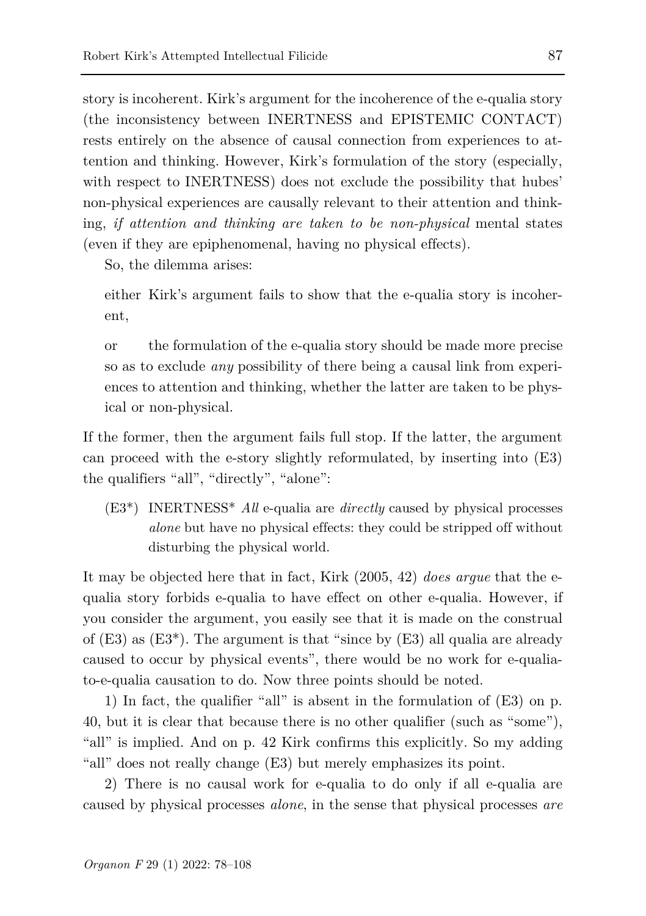story is incoherent. Kirk's argument for the incoherence of the e-qualia story (the inconsistency between INERTNESS and EPISTEMIC CONTACT) rests entirely on the absence of causal connection from experiences to attention and thinking. However, Kirk's formulation of the story (especially, with respect to INERTNESS) does not exclude the possibility that hubes' non-physical experiences are causally relevant to their attention and thinking, *if attention and thinking are taken to be non-physical* mental states (even if they are epiphenomenal, having no physical effects).

So, the dilemma arises:

either Kirk's argument fails to show that the e-qualia story is incoherent,

or the formulation of the e-qualia story should be made more precise so as to exclude *any* possibility of there being a causal link from experiences to attention and thinking, whether the latter are taken to be physical or non-physical.

If the former, then the argument fails full stop. If the latter, the argument can proceed with the e-story slightly reformulated, by inserting into (E3) the qualifiers "all", "directly", "alone":

(E3\*) INERTNESS\* *All* e-qualia are *directly* caused by physical processes *alone* but have no physical effects: they could be stripped off without disturbing the physical world.

It may be objected here that in fact, Kirk (2005, 42) *does argue* that the equalia story forbids e-qualia to have effect on other e-qualia. However, if you consider the argument, you easily see that it is made on the construal of  $(E3)$  as  $(E3^*)$ . The argument is that "since by  $(E3)$  all qualia are already caused to occur by physical events", there would be no work for e-qualiato-e-qualia causation to do. Now three points should be noted.

1) In fact, the qualifier "all" is absent in the formulation of (E3) on p. 40, but it is clear that because there is no other qualifier (such as "some"), "all" is implied. And on p. 42 Kirk confirms this explicitly. So my adding "all" does not really change (E3) but merely emphasizes its point.

2) There is no causal work for e-qualia to do only if all e-qualia are caused by physical processes *alone*, in the sense that physical processes *are*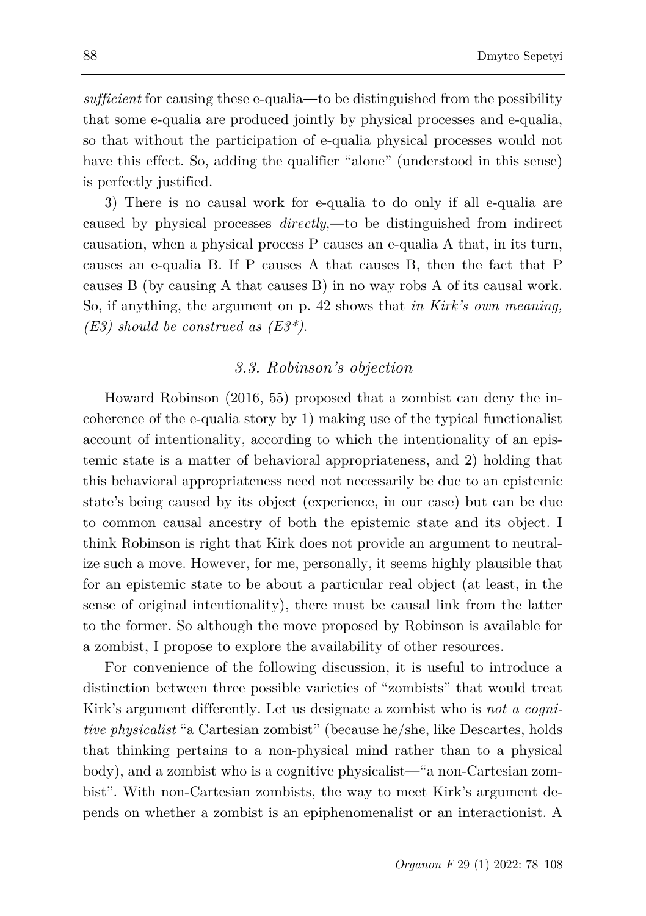*sufficient* for causing these e-qualia—to be distinguished from the possibility that some e-qualia are produced jointly by physical processes and e-qualia, so that without the participation of e-qualia physical processes would not have this effect. So, adding the qualifier "alone" (understood in this sense) is perfectly justified.

3) There is no causal work for e-qualia to do only if all e-qualia are caused by physical processes *directly*,―to be distinguished from indirect causation, when a physical process P causes an e-qualia A that, in its turn, causes an e-qualia B. If P causes A that causes B, then the fact that P causes B (by causing A that causes B) in no way robs A of its causal work. So, if anything, the argument on p. 42 shows that *in Kirk's own meaning, (E3) should be construed as (E3\*)*.

### *3.3. Robinson's objection*

Howard Robinson (2016, 55) proposed that a zombist can deny the incoherence of the e-qualia story by 1) making use of the typical functionalist account of intentionality, according to which the intentionality of an epistemic state is a matter of behavioral appropriateness, and 2) holding that this behavioral appropriateness need not necessarily be due to an epistemic state's being caused by its object (experience, in our case) but can be due to common causal ancestry of both the epistemic state and its object. I think Robinson is right that Kirk does not provide an argument to neutralize such a move. However, for me, personally, it seems highly plausible that for an epistemic state to be about a particular real object (at least, in the sense of original intentionality), there must be causal link from the latter to the former. So although the move proposed by Robinson is available for a zombist, I propose to explore the availability of other resources.

For convenience of the following discussion, it is useful to introduce a distinction between three possible varieties of "zombists" that would treat Kirk's argument differently. Let us designate a zombist who is *not a cognitive physicalist* "a Cartesian zombist" (because he/she, like Descartes, holds that thinking pertains to a non-physical mind rather than to a physical body), and a zombist who is a cognitive physicalist—"a non-Cartesian zombist". With non-Cartesian zombists, the way to meet Kirk's argument depends on whether a zombist is an epiphenomenalist or an interactionist. A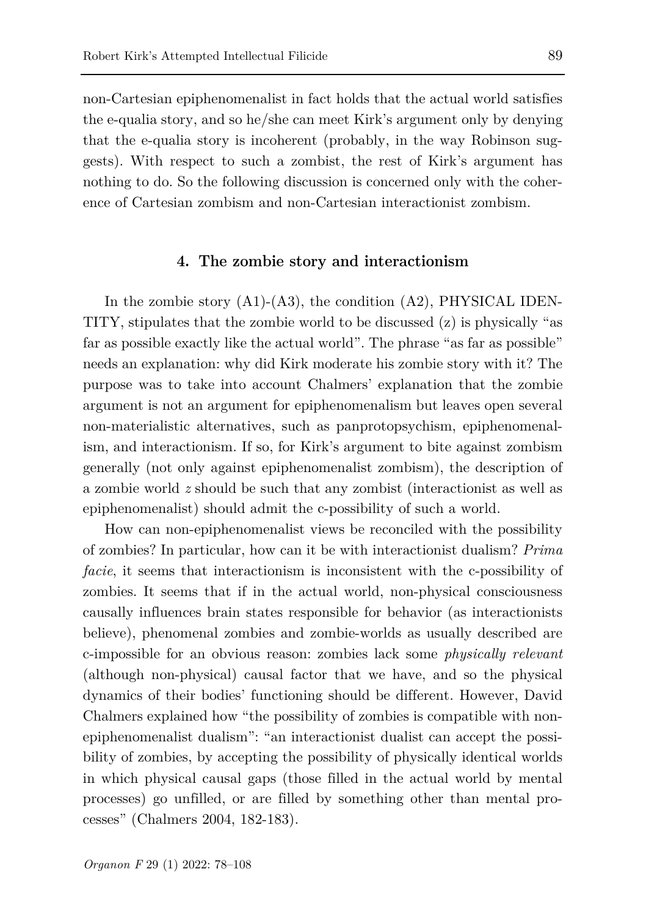non-Cartesian epiphenomenalist in fact holds that the actual world satisfies the e-qualia story, and so he/she can meet Kirk's argument only by denying that the e-qualia story is incoherent (probably, in the way Robinson suggests). With respect to such a zombist, the rest of Kirk's argument has nothing to do. So the following discussion is concerned only with the coherence of Cartesian zombism and non-Cartesian interactionist zombism.

#### **4. The zombie story and interactionism**

In the zombie story (A1)-(A3), the condition (A2), PHYSICAL IDEN-TITY, stipulates that the zombie world to be discussed  $(z)$  is physically "as far as possible exactly like the actual world". The phrase "as far as possible" needs an explanation: why did Kirk moderate his zombie story with it? The purpose was to take into account Chalmers' explanation that the zombie argument is not an argument for epiphenomenalism but leaves open several non-materialistic alternatives, such as panprotopsychism, epiphenomenalism, and interactionism. If so, for Kirk's argument to bite against zombism generally (not only against epiphenomenalist zombism), the description of a zombie world *z* should be such that any zombist (interactionist as well as epiphenomenalist) should admit the c-possibility of such a world.

How can non-epiphenomenalist views be reconciled with the possibility of zombies? In particular, how can it be with interactionist dualism? *Prima facie*, it seems that interactionism is inconsistent with the c-possibility of zombies. It seems that if in the actual world, non-physical consciousness causally influences brain states responsible for behavior (as interactionists believe), phenomenal zombies and zombie-worlds as usually described are c-impossible for an obvious reason: zombies lack some *physically relevant* (although non-physical) causal factor that we have, and so the physical dynamics of their bodies' functioning should be different. However, David Chalmers explained how "the possibility of zombies is compatible with nonepiphenomenalist dualism": "an interactionist dualist can accept the possibility of zombies, by accepting the possibility of physically identical worlds in which physical causal gaps (those filled in the actual world by mental processes) go unfilled, or are filled by something other than mental processes" (Chalmers 2004, 182-183).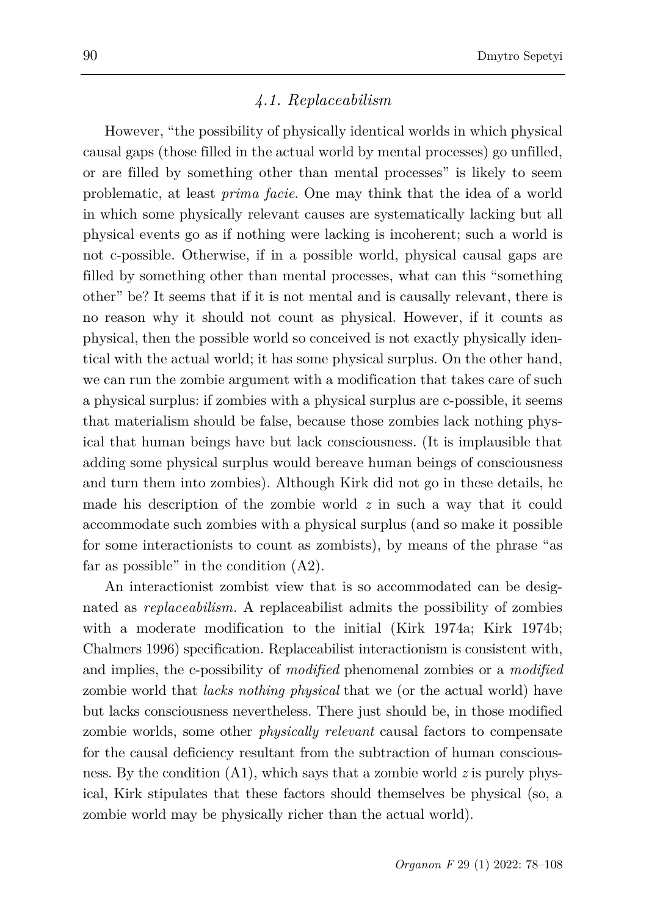### *4.1. Replaceabilism*

However, "the possibility of physically identical worlds in which physical causal gaps (those filled in the actual world by mental processes) go unfilled, or are filled by something other than mental processes" is likely to seem problematic, at least *prima facie*. One may think that the idea of a world in which some physically relevant causes are systematically lacking but all physical events go as if nothing were lacking is incoherent; such a world is not c-possible. Otherwise, if in a possible world, physical causal gaps are filled by something other than mental processes, what can this "something other" be? It seems that if it is not mental and is causally relevant, there is no reason why it should not count as physical. However, if it counts as physical, then the possible world so conceived is not exactly physically identical with the actual world; it has some physical surplus. On the other hand, we can run the zombie argument with a modification that takes care of such a physical surplus: if zombies with a physical surplus are c-possible, it seems that materialism should be false, because those zombies lack nothing physical that human beings have but lack consciousness. (It is implausible that adding some physical surplus would bereave human beings of consciousness and turn them into zombies). Although Kirk did not go in these details, he made his description of the zombie world *z* in such a way that it could accommodate such zombies with a physical surplus (and so make it possible for some interactionists to count as zombists), by means of the phrase "as far as possible" in the condition (A2).

An interactionist zombist view that is so accommodated can be designated as *replaceabilism.* A replaceabilist admits the possibility of zombies with a moderate modification to the initial (Kirk 1974a; Kirk 1974b; Chalmers 1996) specification. Replaceabilist interactionism is consistent with, and implies, the c-possibility of *modified* phenomenal zombies or a *modified*  zombie world that *lacks nothing physical* that we (or the actual world) have but lacks consciousness nevertheless. There just should be, in those modified zombie worlds, some other *physically relevant* causal factors to compensate for the causal deficiency resultant from the subtraction of human consciousness. By the condition (A1), which says that a zombie world *z* is purely physical, Kirk stipulates that these factors should themselves be physical (so, a zombie world may be physically richer than the actual world).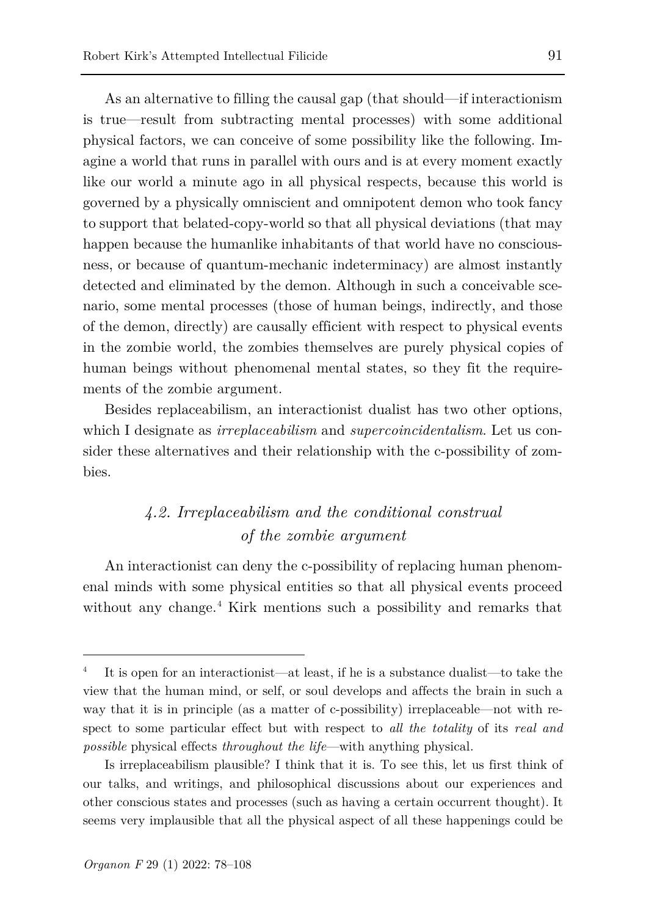As an alternative to filling the causal gap (that should—if interactionism is true—result from subtracting mental processes) with some additional physical factors, we can conceive of some possibility like the following. Imagine a world that runs in parallel with ours and is at every moment exactly like our world a minute ago in all physical respects, because this world is governed by a physically omniscient and omnipotent demon who took fancy to support that belated-copy-world so that all physical deviations (that may happen because the humanlike inhabitants of that world have no consciousness, or because of quantum-mechanic indeterminacy) are almost instantly detected and eliminated by the demon. Although in such a conceivable scenario, some mental processes (those of human beings, indirectly, and those of the demon, directly) are causally efficient with respect to physical events in the zombie world, the zombies themselves are purely physical copies of human beings without phenomenal mental states, so they fit the requirements of the zombie argument.

Besides replaceabilism, an interactionist dualist has two other options, which I designate as *irreplaceabilism* and *supercoincidentalism*. Let us consider these alternatives and their relationship with the c-possibility of zombies.

## *4.2. Irreplaceabilism and the conditional construal of the zombie argument*

An interactionist can deny the c-possibility of replacing human phenomenal minds with some physical entities so that all physical events proceed without any change.[4](#page-13-0) Kirk mentions such a possibility and remarks that

<span id="page-13-0"></span><sup>4</sup> It is open for an interactionist—at least, if he is a substance dualist—to take the view that the human mind, or self, or soul develops and affects the brain in such a way that it is in principle (as a matter of c-possibility) irreplaceable—not with respect to some particular effect but with respect to *all the totality* of its *real and possible* physical effects *throughout the life*—with anything physical.

Is irreplaceabilism plausible? I think that it is. To see this, let us first think of our talks, and writings, and philosophical discussions about our experiences and other conscious states and processes (such as having a certain occurrent thought). It seems very implausible that all the physical aspect of all these happenings could be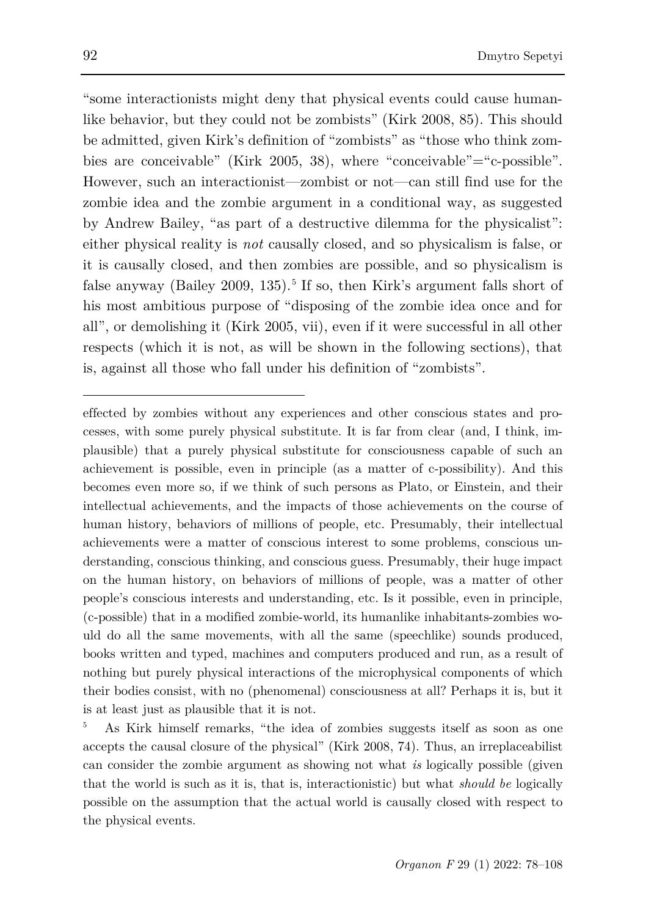"some interactionists might deny that physical events could cause humanlike behavior, but they could not be zombists" (Kirk 2008, 85). This should be admitted, given Kirk's definition of "zombists" as "those who think zombies are conceivable" (Kirk 2005, 38), where "conceivable"="c-possible". However, such an interactionist—zombist or not—can still find use for the zombie idea and the zombie argument in a conditional way, as suggested by Andrew Bailey, "as part of a destructive dilemma for the physicalist": either physical reality is *not* causally closed, and so physicalism is false, or it is causally closed, and then zombies are possible, and so physicalism is false anyway (Bailey 2009, 13[5](#page-14-0)).<sup>5</sup> If so, then Kirk's argument falls short of his most ambitious purpose of "disposing of the zombie idea once and for all", or demolishing it (Kirk 2005, vii), even if it were successful in all other respects (which it is not, as will be shown in the following sections), that is, against all those who fall under his definition of "zombists".

effected by zombies without any experiences and other conscious states and processes, with some purely physical substitute. It is far from clear (and, I think, implausible) that a purely physical substitute for consciousness capable of such an achievement is possible, even in principle (as a matter of c-possibility). And this becomes even more so, if we think of such persons as Plato, or Einstein, and their intellectual achievements, and the impacts of those achievements on the course of human history, behaviors of millions of people, etc. Presumably, their intellectual achievements were a matter of conscious interest to some problems, conscious understanding, conscious thinking, and conscious guess. Presumably, their huge impact on the human history, on behaviors of millions of people, was a matter of other people's conscious interests and understanding, etc. Is it possible, even in principle, (c-possible) that in a modified zombie-world, its humanlike inhabitants-zombies would do all the same movements, with all the same (speechlike) sounds produced, books written and typed, machines and computers produced and run, as a result of nothing but purely physical interactions of the microphysical components of which their bodies consist, with no (phenomenal) consciousness at all? Perhaps it is, but it is at least just as plausible that it is not.

<span id="page-14-0"></span><sup>5</sup> As Kirk himself remarks, "the idea of zombies suggests itself as soon as one accepts the causal closure of the physical" (Kirk 2008, 74). Thus, an irreplaceabilist can consider the zombie argument as showing not what *is* logically possible (given that the world is such as it is, that is, interactionistic) but what *should be* logically possible on the assumption that the actual world is causally closed with respect to the physical events.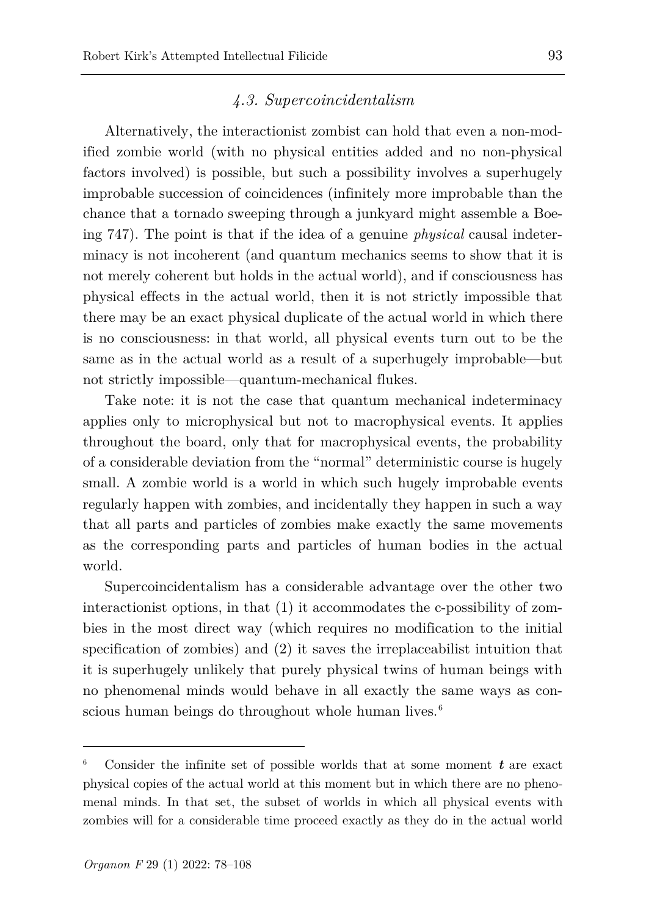### *4.3. Supercoincidentalism*

Alternatively, the interactionist zombist can hold that even a non-modified zombie world (with no physical entities added and no non-physical factors involved) is possible, but such a possibility involves a superhugely improbable succession of coincidences (infinitely more improbable than the chance that a tornado sweeping through a junkyard might assemble a Boeing 747). The point is that if the idea of a genuine *physical* causal indeterminacy is not incoherent (and quantum mechanics seems to show that it is not merely coherent but holds in the actual world), and if consciousness has physical effects in the actual world, then it is not strictly impossible that there may be an exact physical duplicate of the actual world in which there is no consciousness: in that world, all physical events turn out to be the same as in the actual world as a result of a superhugely improbable—but not strictly impossible—quantum-mechanical flukes.

Take note: it is not the case that quantum mechanical indeterminacy applies only to microphysical but not to macrophysical events. It applies throughout the board, only that for macrophysical events, the probability of a considerable deviation from the "normal" deterministic course is hugely small. A zombie world is a world in which such hugely improbable events regularly happen with zombies, and incidentally they happen in such a way that all parts and particles of zombies make exactly the same movements as the corresponding parts and particles of human bodies in the actual world.

Supercoincidentalism has a considerable advantage over the other two interactionist options, in that (1) it accommodates the c-possibility of zombies in the most direct way (which requires no modification to the initial specification of zombies) and (2) it saves the irreplaceabilist intuition that it is superhugely unlikely that purely physical twins of human beings with no phenomenal minds would behave in all exactly the same ways as con-scious human beings do throughout whole human lives.<sup>[6](#page-15-0)</sup>

<span id="page-15-0"></span><sup>6</sup> Consider the infinite set of possible worlds that at some moment *t* are exact physical copies of the actual world at this moment but in which there are no phenomenal minds. In that set, the subset of worlds in which all physical events with zombies will for a considerable time proceed exactly as they do in the actual world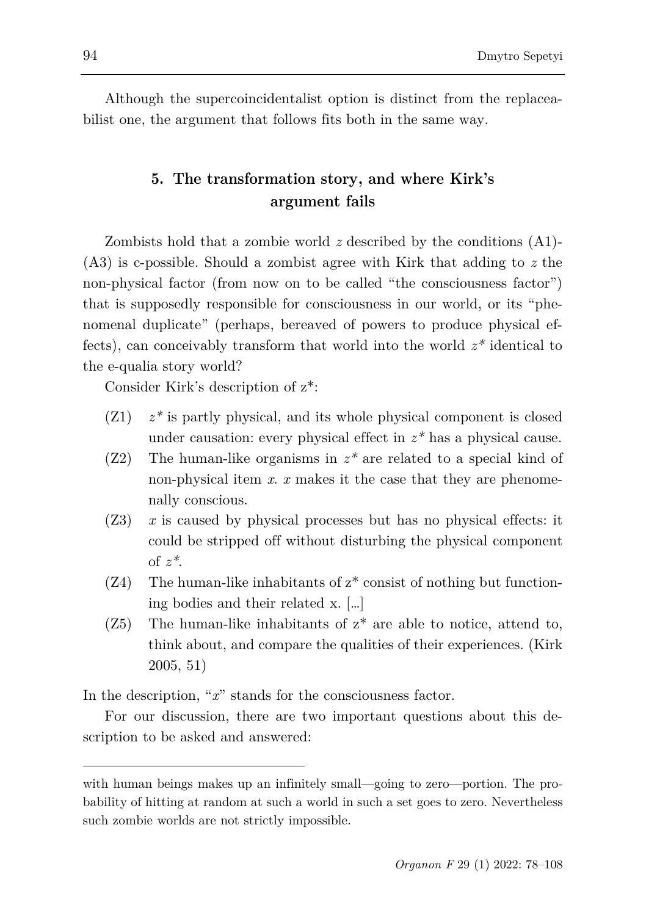Although the supercoincidentalist option is distinct from the replaceabilist one, the argument that follows fits both in the same way.

### **5. The transformation story, and where Kirk's argument fails**

Zombists hold that a zombie world *z* described by the conditions (A1)- (A3) is c-possible. Should a zombist agree with Kirk that adding to *z* the non-physical factor (from now on to be called "the consciousness factor") that is supposedly responsible for consciousness in our world, or its "phenomenal duplicate" (perhaps, bereaved of powers to produce physical effects), can conceivably transform that world into the world *z\** identical to the e-qualia story world?

Consider Kirk's description of z\*:

- (Z1) *z\** is partly physical, and its whole physical component is closed under causation: every physical effect in *z\** has a physical cause.
- (Z2) The human-like organisms in *z\** are related to a special kind of non-physical item *x*. *x* makes it the case that they are phenomenally conscious.
- (Z3) *x* is caused by physical processes but has no physical effects: it could be stripped off without disturbing the physical component of *z\**.
- $(Z4)$  The human-like inhabitants of  $z^*$  consist of nothing but functioning bodies and their related x. […]
- $(Z5)$  The human-like inhabitants of  $z^*$  are able to notice, attend to, think about, and compare the qualities of their experiences. (Kirk 2005, 51)

In the description, "*x*" stands for the consciousness factor.

For our discussion, there are two important questions about this description to be asked and answered:

l

with human beings makes up an infinitely small—going to zero—portion. The probability of hitting at random at such a world in such a set goes to zero. Nevertheless such zombie worlds are not strictly impossible.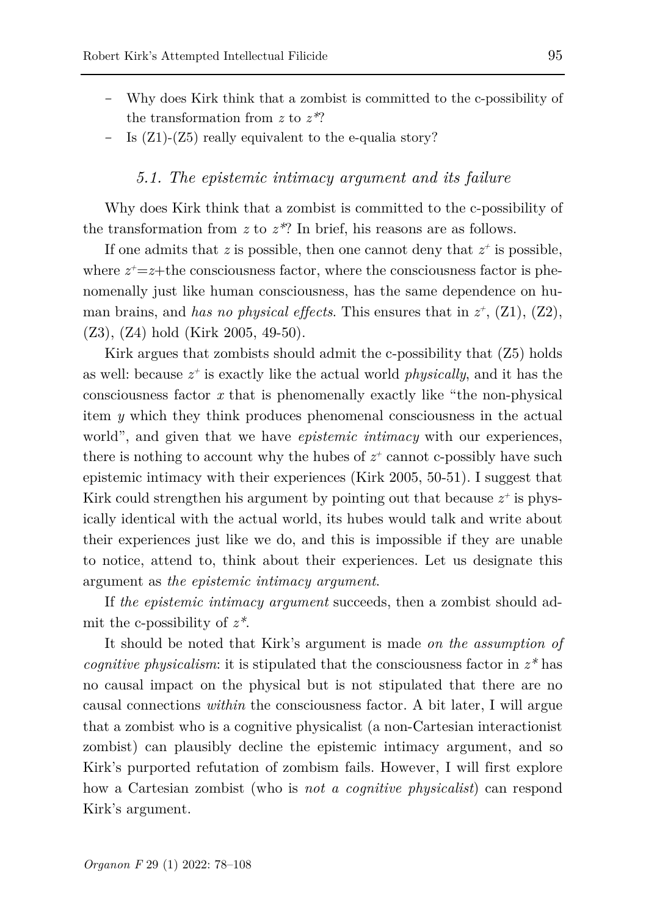- Why does Kirk think that a zombist is committed to the c-possibility of the transformation from *z* to *z\**?
- Is (Z1)-(Z5) really equivalent to the e-qualia story?

### *5.1. The epistemic intimacy argument and its failure*

Why does Kirk think that a zombist is committed to the c-possibility of the transformation from *z* to *z\**? In brief, his reasons are as follows.

If one admits that  $z$  is possible, then one cannot deny that  $z^+$  is possible, where  $z^+=z+$ the consciousness factor, where the consciousness factor is phenomenally just like human consciousness, has the same dependence on human brains, and *has no physical effects*. This ensures that in  $z^+$ ,  $(Z1)$ ,  $(Z2)$ , (Z3), (Z4) hold (Kirk 2005, 49-50).

Kirk argues that zombists should admit the c-possibility that (Z5) holds as well: because  $z^+$  is exactly like the actual world *physically*, and it has the consciousness factor *x* that is phenomenally exactly like "the non-physical item *y* which they think produces phenomenal consciousness in the actual world", and given that we have *epistemic intimacy* with our experiences, there is nothing to account why the hubes of  $z^+$  cannot c-possibly have such epistemic intimacy with their experiences (Kirk 2005, 50-51). I suggest that Kirk could strengthen his argument by pointing out that because  $z^+$  is physically identical with the actual world, its hubes would talk and write about their experiences just like we do, and this is impossible if they are unable to notice, attend to, think about their experiences. Let us designate this argument as *the epistemic intimacy argument*.

If *the epistemic intimacy argument* succeeds, then a zombіst should admit the c-possibility of *z\**.

It should be noted that Kirk's argument is made *on the assumption of cognitive physicalism*: it is stipulated that the consciousness factor in *z\** has no causal impact on the physical but is not stipulated that there are no causal connections *within* the consciousness factor. A bit later, I will argue that a zombist who is a cognitive physicalist (a non-Cartesian interactionist zombist) can plausibly decline the epistemic intimacy argument, and so Kirk's purported refutation of zombism fails. However, I will first explore how a Cartesian zombist (who is *not a cognitive physicalist*) can respond Kirk's argument.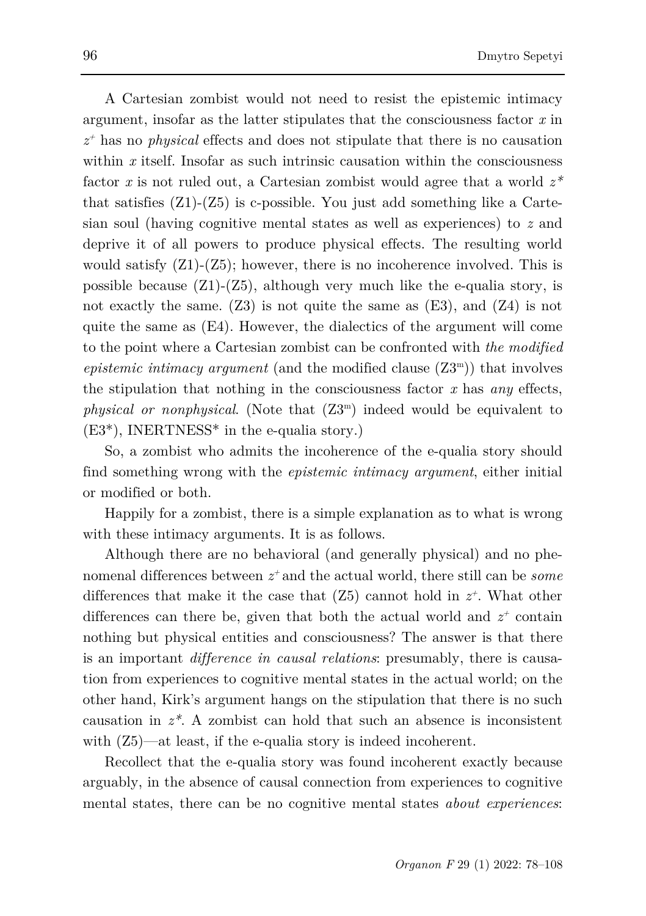A Cartesian zombist would not need to resist the epistemic intimacy argument, insofar as the latter stipulates that the consciousness factor *x* in *z+* has no *physical* effects and does not stipulate that there is no causation within *x* itself. Insofar as such intrinsic causation within the consciousness factor *x* is not ruled out, a Cartesian zombist would agree that a world *z\** that satisfies  $(Z1)-(Z5)$  is c-possible. You just add something like a Cartesian soul (having cognitive mental states as well as experiences) to *z* and deprive it of all powers to produce physical effects. The resulting world would satisfy  $(Z1)-(Z5)$ ; however, there is no incoherence involved. This is possible because  $(Z1)-(Z5)$ , although very much like the e-qualia story, is not exactly the same. (Z3) is not quite the same as (E3), and (Z4) is not quite the same as (E4). However, the dialectics of the argument will come to the point where a Cartesian zombist can be confronted with *the modified epistemic intimacy argument* (and the modified clause  $(Z3<sup>m</sup>)$ ) that involves the stipulation that nothing in the consciousness factor *x* has *any* effects, *physical or nonphysical*. (Note that (Z3m) indeed would be equivalent to (E3\*), INERTNESS\* in the e-qualia story.)

So, a zombist who admits the incoherence of the e-qualia story should find something wrong with the *epistemic intimacy argument*, either initial or modified or both.

Happily for a zombist, there is a simple explanation as to what is wrong with these intimacy arguments. It is as follows.

Although there are no behavioral (and generally physical) and no phenomenal differences between *z+* and the actual world, there still can be *some*  differences that make it the case that  $(Z5)$  cannot hold in  $z^*$ . What other differences can there be, given that both the actual world and  $z^+$  contain nothing but physical entities and consciousness? The answer is that there is an important *difference in causal relations*: presumably, there is causation from experiences to cognitive mental states in the actual world; on the other hand, Kirk's argument hangs on the stipulation that there is no such causation in *z\**. A zombist can hold that such an absence is inconsistent with  $(Z5)$ —at least, if the e-qualia story is indeed incoherent.

Recollect that the e-qualia story was found incoherent exactly because arguably, in the absence of causal connection from experiences to cognitive mental states, there can be no cognitive mental states *about experiences*: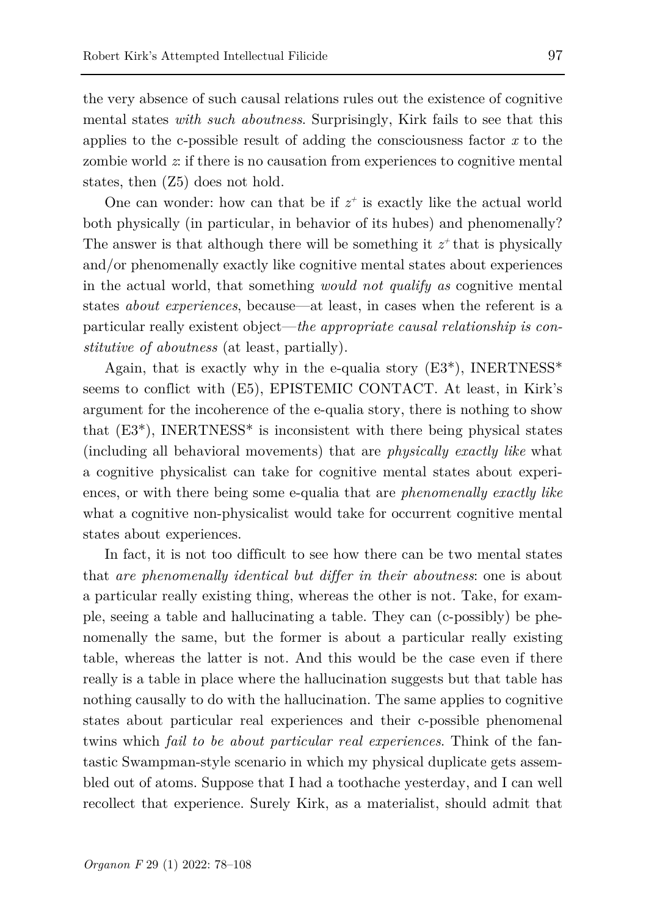the very absence of such causal relations rules out the existence of cognitive mental states *with such aboutness*. Surprisingly, Kirk fails to see that this applies to the c-possible result of adding the consciousness factor *x* to the zombie world *z*: if there is no causation from experiences to cognitive mental states, then (Z5) does not hold.

One can wonder: how can that be if  $z^+$  is exactly like the actual world both physically (in particular, in behavior of its hubes) and phenomenally? The answer is that although there will be something it  $z^+$  that is physically and/or phenomenally exactly like cognitive mental states about experiences in the actual world, that something *would not qualify as* cognitive mental states *about experiences*, because—at least, in cases when the referent is a particular really existent object—*the appropriate causal relationship is constitutive of aboutness* (at least, partially).

Again, that is exactly why in the e-qualia story  $(E3^*)$ , INERTNESS<sup>\*</sup> seems to conflict with (E5), EPISTEMIC CONTACT. At least, in Kirk's argument for the incoherence of the e-qualia story, there is nothing to show that  $(E3^*)$ , INERTNESS<sup>\*</sup> is inconsistent with there being physical states (including all behavioral movements) that are *physically exactly like* what a cognitive physicalist can take for cognitive mental states about experiences, or with there being some e-qualia that are *phenomenally exactly like* what a cognitive non-physicalist would take for occurrent cognitive mental states about experiences.

In fact, it is not too difficult to see how there can be two mental states that *are phenomenally identical but differ in their aboutness*: one is about a particular really existing thing, whereas the other is not. Take, for example, seeing a table and hallucinating a table. They can (c-possibly) be phenomenally the same, but the former is about a particular really existing table, whereas the latter is not. And this would be the case even if there really is a table in place where the hallucination suggests but that table has nothing causally to do with the hallucination. The same applies to cognitive states about particular real experiences and their c-possible phenomenal twins which *fail to be about particular real experiences*. Think of the fantastic Swampman-style scenario in which my physical duplicate gets assembled out of atoms. Suppose that I had a toothache yesterday, and I can well recollect that experience. Surely Kirk, as a materialist, should admit that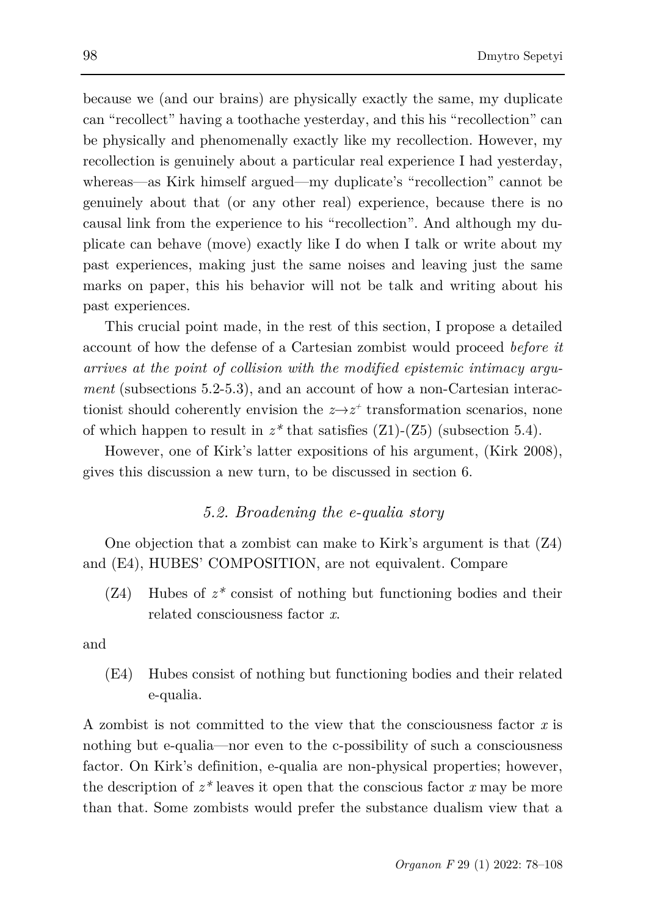because we (and our brains) are physically exactly the same, my duplicate can "recollect" having a toothache yesterday, and this his "recollection" can be physically and phenomenally exactly like my recollection. However, my recollection is genuinely about a particular real experience I had yesterday, whereas—as Kirk himself argued—my duplicate's "recollection" cannot be genuinely about that (or any other real) experience, because there is no causal link from the experience to his "recollection". And although my duplicate can behave (move) exactly like I do when I talk or write about my past experiences, making just the same noises and leaving just the same marks on paper, this his behavior will not be talk and writing about his past experiences.

This crucial point made, in the rest of this section, I propose a detailed account of how the defense of a Cartesian zombist would proceed *before it arrives at the point of collision with the modified epistemic intimacy argument* (subsections 5.2-5.3), and an account of how a non-Cartesian interactionist should coherently envision the  $z \rightarrow z^+$  transformation scenarios, none of which happen to result in  $z^*$  that satisfies  $(Z1)-(Z5)$  (subsection 5.4).

However, one of Kirk's latter expositions of his argument, (Kirk 2008), gives this discussion a new turn, to be discussed in section 6.

### *5.2. Broadening the e-qualia story*

One objection that a zombist can make to Kirk's argument is that (Z4) and (E4), HUBES' COMPOSITION, are not equivalent. Compare

(Z4) Hubes of *z\** consist of nothing but functioning bodies and their related consciousness factor *x*.

and

(E4) Hubes consist of nothing but functioning bodies and their related e-qualia.

A zombist is not committed to the view that the consciousness factor *x* is nothing but e-qualia—nor even to the c-possibility of such a consciousness factor. On Kirk's definition, e-qualia are non-physical properties; however, the description of  $z^*$  leaves it open that the conscious factor  $x$  may be more than that. Some zombists would prefer the substance dualism view that a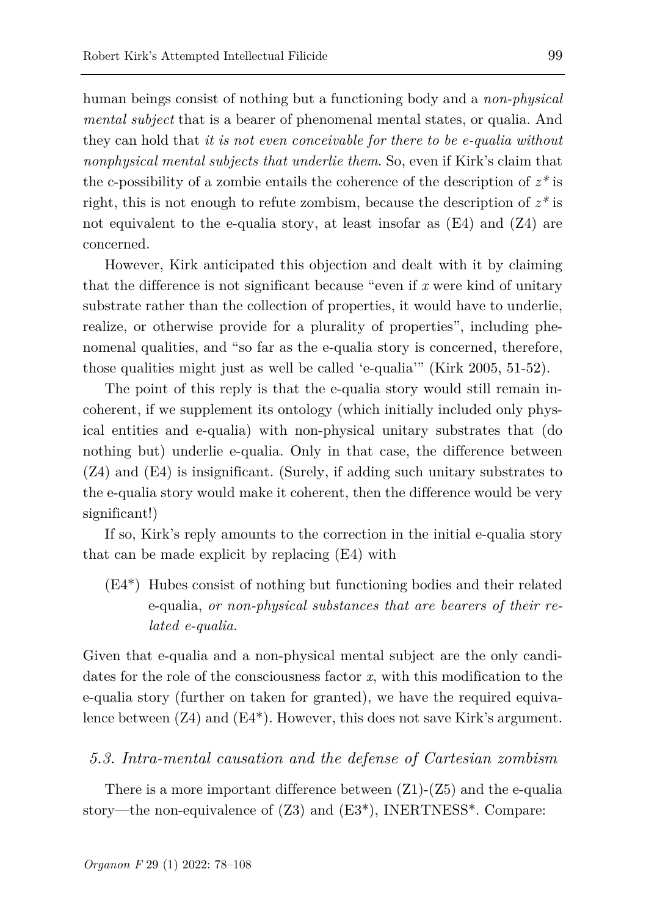human beings consist of nothing but a functioning body and a *non-physical mental subject* that is a bearer of phenomenal mental states, or qualia. And they can hold that *it is not even conceivable for there to be e-qualia without nonphysical mental subjects that underlie them*. So, even if Kirk's claim that the c-possibility of a zombie entails the coherence of the description of  $z^*$  is right, this is not enough to refute zombism, because the description of *z\** is not equivalent to the e-qualia story, at least insofar as  $(E4)$  and  $(Z4)$  are concerned.

However, Kirk anticipated this objection and dealt with it by claiming that the difference is not significant because "even if *x* were kind of unitary substrate rather than the collection of properties, it would have to underlie, realize, or otherwise provide for a plurality of properties", including phenomenal qualities, and "so far as the e-qualia story is concerned, therefore, those qualities might just as well be called 'e-qualia'" (Kirk 2005, 51-52).

The point of this reply is that the e-qualia story would still remain incoherent, if we supplement its ontology (which initially included only physical entities and e-qualia) with non-physical unitary substrates that (do nothing but) underlie e-qualia. Only in that case, the difference between (Z4) and (E4) is insignificant. (Surely, if adding such unitary substrates to the e-qualia story would make it coherent, then the difference would be very significant!)

If so, Kirk's reply amounts to the correction in the initial e-qualia story that can be made explicit by replacing (E4) with

(E4\*) Hubes consist of nothing but functioning bodies and their related e-qualia, *or non-physical substances that are bearers of their related e-qualia*.

Given that e-qualia and a non-physical mental subject are the only candidates for the role of the consciousness factor *x*, with this modification to the e-qualia story (further on taken for granted), we have the required equivalence between (Z4) and (E4\*). However, this does not save Kirk's argument.

#### *5.3. Intra-mental causation and the defense of Cartesian zombism*

There is a more important difference between  $(Z1)-(Z5)$  and the e-qualia story—the non-equivalence of (Z3) and (E3\*), INERTNESS\*. Compare: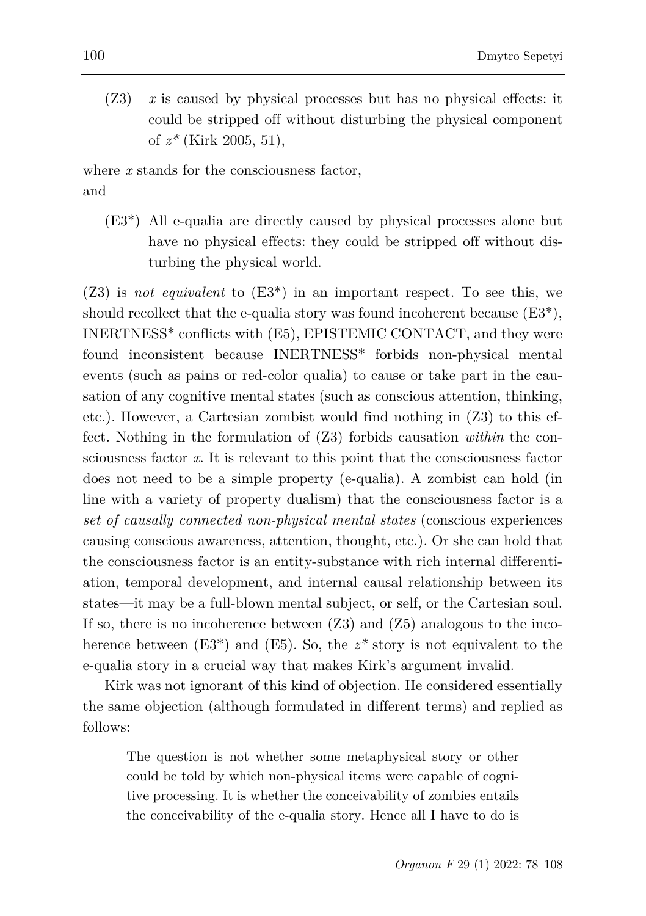(Z3) *x* is caused by physical processes but has no physical effects: it could be stripped off without disturbing the physical component of *z\** (Kirk 2005, 51),

where *x* stands for the consciousness factor, and

(E3\*) All e-qualia are directly caused by physical processes alone but have no physical effects: they could be stripped off without disturbing the physical world.

(Z3) is *not equivalent* to (E3\*) in an important respect. To see this, we should recollect that the e-qualia story was found incoherent because  $(E3^*)$ , INERTNESS\* conflicts with (E5), EPISTEMIC CONTACT, and they were found inconsistent because INERTNESS\* forbids non-physical mental events (such as pains or red-color qualia) to cause or take part in the causation of any cognitive mental states (such as conscious attention, thinking, etc.). However, a Cartesian zombist would find nothing in (Z3) to this effect. Nothing in the formulation of (Z3) forbids causation *within* the consciousness factor *x*. It is relevant to this point that the consciousness factor does not need to be a simple property (e-qualia). A zombist can hold (in line with a variety of property dualism) that the consciousness factor is a *set of causally connected non-physical mental states* (conscious experiences causing conscious awareness, attention, thought, etc.). Or she can hold that the consciousness factor is an entity-substance with rich internal differentiation, temporal development, and internal causal relationship between its states—it may be a full-blown mental subject, or self, or the Cartesian soul. If so, there is no incoherence between  $(Z3)$  and  $(Z5)$  analogous to the incoherence between  $(E3^*)$  and  $(E5)$ . So, the  $z^*$  story is not equivalent to the e-qualia story in a crucial way that makes Kirk's argument invalid.

Kirk was not ignorant of this kind of objection. He considered essentially the same objection (although formulated in different terms) and replied as follows:

The question is not whether some metaphysical story or other could be told by which non-physical items were capable of cognitive processing. It is whether the conceivability of zombies entails the conceivability of the e-qualia story. Hence all I have to do is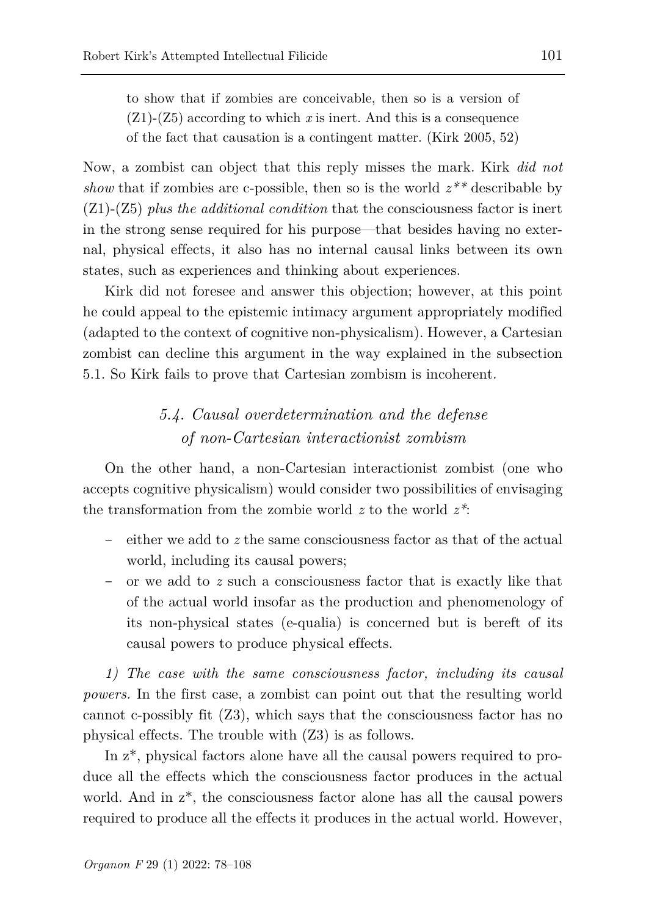to show that if zombies are conceivable, then so is a version of (Z1)-(Z5) according to which *x* is inert. And this is a consequence of the fact that causation is a contingent matter. (Kirk 2005, 52)

Now, a zombist can object that this reply misses the mark. Kirk *did not show* that if zombies are c-possible, then so is the world *z\*\** describable by (Z1)-(Z5) *plus the additional condition* that the consciousness factor is inert in the strong sense required for his purpose—that besides having no external, physical effects, it also has no internal causal links between its own states, such as experiences and thinking about experiences.

Kirk did not foresee and answer this objection; however, at this point he could appeal to the epistemic intimacy argument appropriately modified (adapted to the context of cognitive non-physicalism). However, a Cartesian zombist can decline this argument in the way explained in the subsection 5.1. So Kirk fails to prove that Cartesian zombism is incoherent.

# *5.4. Causal overdetermination and the defense of non-Cartesian interactionist zombism*

On the other hand, a non-Cartesian interactionist zombist (one who accepts cognitive physicalism) would consider two possibilities of envisaging the transformation from the zombie world *z* to the world *z\**:

- either we add to *z* the same consciousness factor as that of the actual world, including its causal powers;
- or we add to *z* such a consciousness factor that is exactly like that of the actual world insofar as the production and phenomenology of its non-physical states (e-qualia) is concerned but is bereft of its causal powers to produce physical effects.

*1) The case with the same consciousness factor, including its causal powers.* In the first case, a zombist can point out that the resulting world cannot c-possibly fit (Z3), which says that the consciousness factor has no physical effects. The trouble with (Z3) is as follows.

In z\*, physical factors alone have all the causal powers required to produce all the effects which the consciousness factor produces in the actual world. And in z\*, the consciousness factor alone has all the causal powers required to produce all the effects it produces in the actual world. However,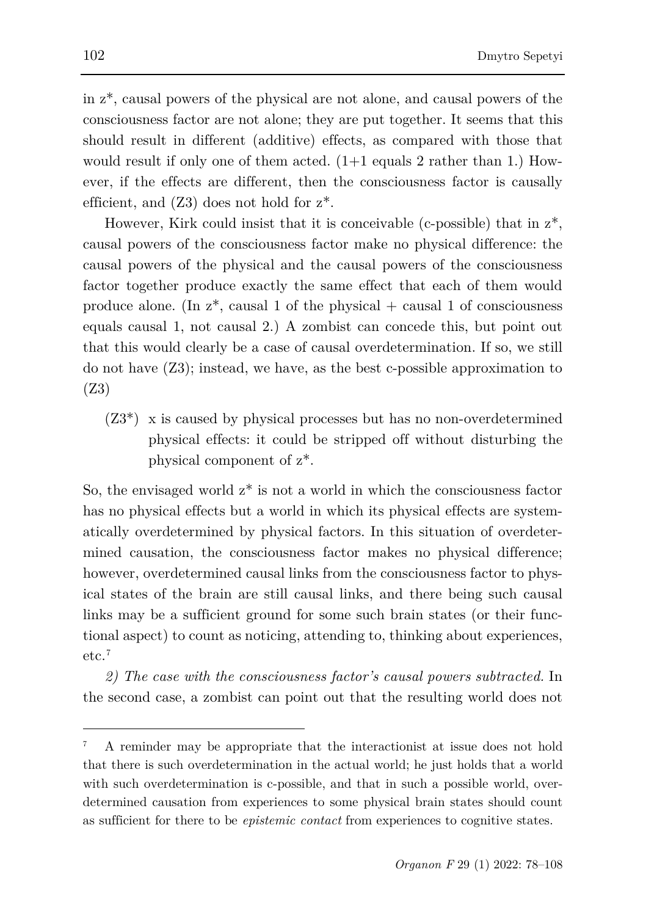in z\*, causal powers of the physical are not alone, and causal powers of the consciousness factor are not alone; they are put together. It seems that this should result in different (additive) effects, as compared with those that would result if only one of them acted. (1+1 equals 2 rather than 1.) However, if the effects are different, then the consciousness factor is causally efficient, and  $(Z3)$  does not hold for  $z^*$ .

However, Kirk could insist that it is conceivable (c-possible) that in  $z^*$ , causal powers of the consciousness factor make no physical difference: the causal powers of the physical and the causal powers of the consciousness factor together produce exactly the same effect that each of them would produce alone. (In  $z^*$ , causal 1 of the physical + causal 1 of consciousness equals causal 1, not causal 2.) A zombist can concede this, but point out that this would clearly be a case of causal overdetermination. If so, we still do not have (Z3); instead, we have, as the best c-possible approximation to (Z3)

 $(Z3^*)$  x is caused by physical processes but has no non-overdetermined physical effects: it could be stripped off without disturbing the physical component of z\*.

So, the envisaged world  $z^*$  is not a world in which the consciousness factor has no physical effects but a world in which its physical effects are systematically overdetermined by physical factors. In this situation of overdetermined causation, the consciousness factor makes no physical difference; however, overdetermined causal links from the consciousness factor to physical states of the brain are still causal links, and there being such causal links may be a sufficient ground for some such brain states (or their functional aspect) to count as noticing, attending to, thinking about experiences, etc.[7](#page-24-0)

*2) The case with the consciousness factor's causal powers subtracted.* In the second case, a zombist can point out that the resulting world does not

l

<span id="page-24-0"></span><sup>7</sup> A reminder may be appropriate that the interactionist at issue does not hold that there is such overdetermination in the actual world; he just holds that a world with such overdetermination is c-possible, and that in such a possible world, overdetermined causation from experiences to some physical brain states should count as sufficient for there to be *epistemic contact* from experiences to cognitive states.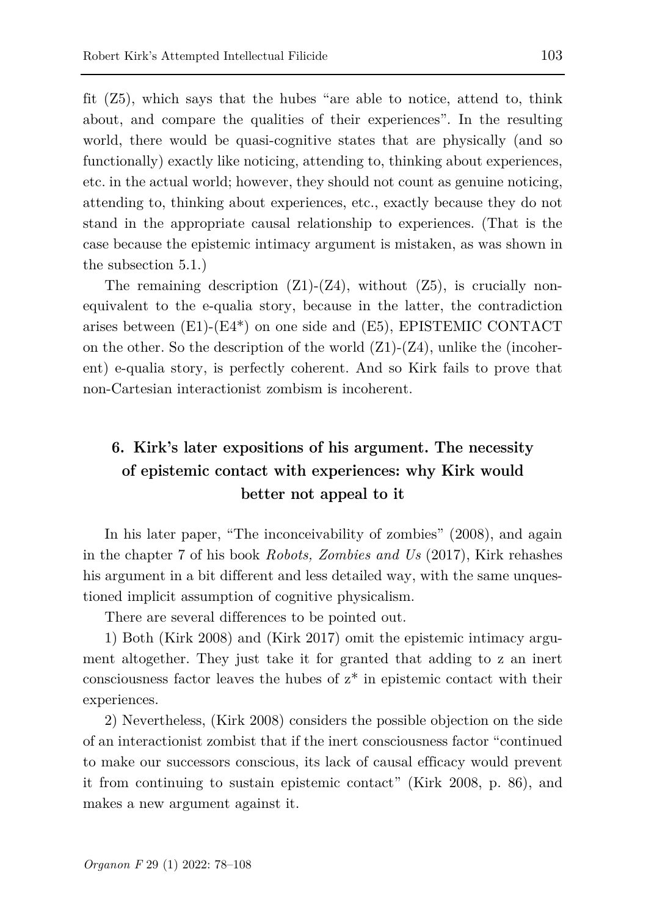fit (Z5), which says that the hubes "are able to notice, attend to, think about, and compare the qualities of their experiences". In the resulting world, there would be quasi-cognitive states that are physically (and so functionally) exactly like noticing, attending to, thinking about experiences, etc. in the actual world; however, they should not count as genuine noticing, attending to, thinking about experiences, etc., exactly because they do not stand in the appropriate causal relationship to experiences. (That is the case because the epistemic intimacy argument is mistaken, as was shown in the subsection 5.1.)

The remaining description  $(Z1)-(Z4)$ , without  $(Z5)$ , is crucially nonequivalent to the e-qualia story, because in the latter, the contradiction arises between (E1)-(E4\*) on one side and (E5), EPISTEMIC CONTACT on the other. So the description of the world  $(Z1)-(Z4)$ , unlike the (incoherent) e-qualia story, is perfectly coherent. And so Kirk fails to prove that non-Cartesian interactionist zombism is incoherent.

# **6. Kirk's later expositions of his argument. The necessity of epistemic contact with experiences: why Kirk would better not appeal to it**

In his later paper, "The inconceivability of zombies" (2008), and again in the chapter 7 of his book *Robots, Zombies and Us* (2017), Kirk rehashes his argument in a bit different and less detailed way, with the same unquestioned implicit assumption of cognitive physicalism.

There are several differences to be pointed out.

1) Both (Kirk 2008) and (Kirk 2017) omit the epistemic intimacy argument altogether. They just take it for granted that adding to z an inert consciousness factor leaves the hubes of z\* in epistemic contact with their experiences.

2) Nevertheless, (Kirk 2008) considers the possible objection on the side of an interactionist zombist that if the inert consciousness factor "continued to make our successors conscious, its lack of causal efficacy would prevent it from continuing to sustain epistemic contact" (Kirk 2008, p. 86), and makes a new argument against it.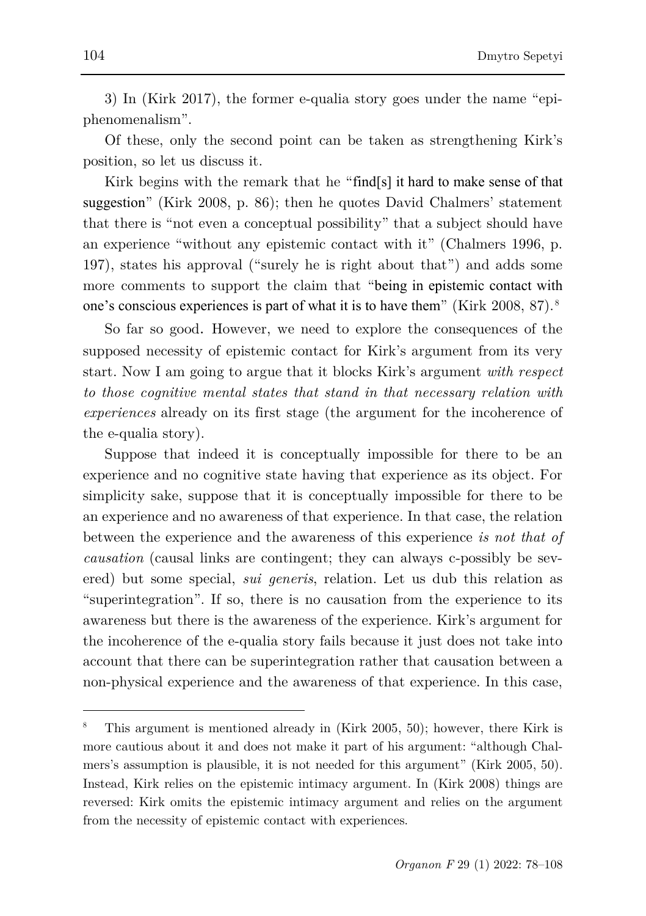3) In (Kirk 2017), the former e-qualia story goes under the name "epiphenomenalism".

Of these, only the second point can be taken as strengthening Kirk's position, so let us discuss it.

Kirk begins with the remark that he "find[s] it hard to make sense of that suggestion" (Kirk 2008, p. 86); then he quotes David Chalmers' statement that there is "not even a conceptual possibility" that a subject should have an experience "without any epistemic contact with it" (Chalmers 1996, p. 197), states his approval ("surely he is right about that") and adds some more comments to support the claim that "being in epistemic contact with one's conscious experiences is part of what it is to have them" (Kirk 2008, 87). [8](#page-26-0)

So far so good. However, we need to explore the consequences of the supposed necessity of epistemic contact for Kirk's argument from its very start. Now I am going to argue that it blocks Kirk's argument *with respect to those cognitive mental states that stand in that necessary relation with experiences* already on its first stage (the argument for the incoherence of the e-qualia story).

Suppose that indeed it is conceptually impossible for there to be an experience and no cognitive state having that experience as its object. For simplicity sake, suppose that it is conceptually impossible for there to be an experience and no awareness of that experience. In that case, the relation between the experience and the awareness of this experience *is not that of causation* (causal links are contingent; they can always c-possibly be severed) but some special, *sui generis*, relation. Let us dub this relation as "superintegration". If so, there is no causation from the experience to its awareness but there is the awareness of the experience. Kirk's argument for the incoherence of the e-qualia story fails because it just does not take into account that there can be superintegration rather that causation between a non-physical experience and the awareness of that experience. In this case,

l

<span id="page-26-0"></span><sup>8</sup> This argument is mentioned already in (Kirk 2005, 50); however, there Kirk is more cautious about it and does not make it part of his argument: "although Chalmers's assumption is plausible, it is not needed for this argument" (Kirk 2005, 50). Instead, Kirk relies on the epistemic intimacy argument. In (Kirk 2008) things are reversed: Kirk omits the epistemic intimacy argument and relies on the argument from the necessity of epistemic contact with experiences.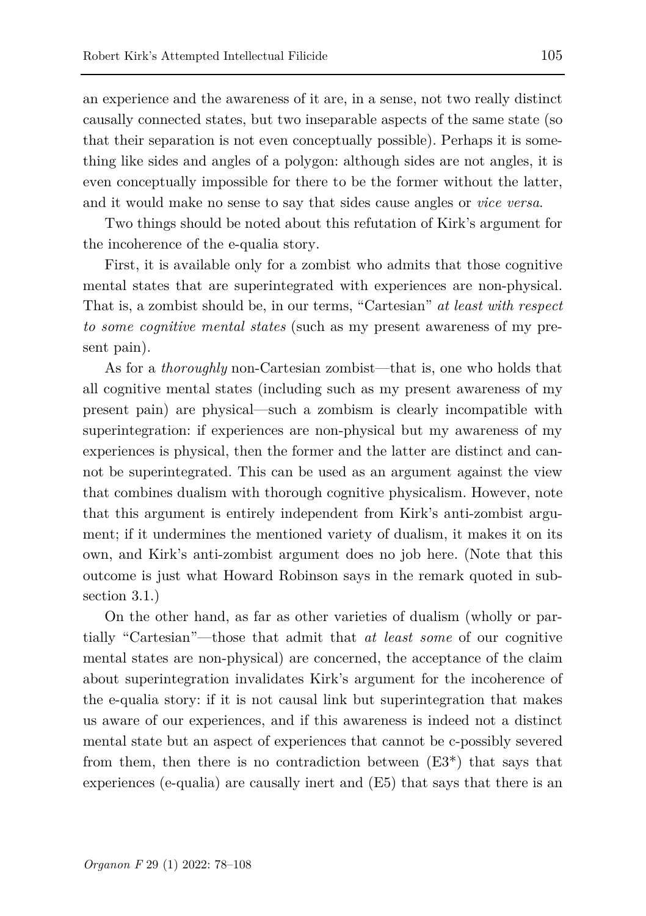an experience and the awareness of it are, in a sense, not two really distinct causally connected states, but two inseparable aspects of the same state (so that their separation is not even conceptually possible). Perhaps it is something like sides and angles of a polygon: although sides are not angles, it is even conceptually impossible for there to be the former without the latter, and it would make no sense to say that sides cause angles or *vice versa*.

Two things should be noted about this refutation of Kirk's argument for the incoherence of the e-qualia story.

First, it is available only for a zombist who admits that those cognitive mental states that are superintegrated with experiences are non-physical. That is, a zombist should be, in our terms, "Cartesian" *at least with respect to some cognitive mental states* (such as my present awareness of my present pain).

As for a *thoroughly* non-Cartesian zombist—that is, one who holds that all cognitive mental states (including such as my present awareness of my present pain) are physical—such a zombism is clearly incompatible with superintegration: if experiences are non-physical but my awareness of my experiences is physical, then the former and the latter are distinct and cannot be superintegrated. This can be used as an argument against the view that combines dualism with thorough cognitive physicalism. However, note that this argument is entirely independent from Kirk's anti-zombist argument; if it undermines the mentioned variety of dualism, it makes it on its own, and Kirk's anti-zombist argument does no job here. (Note that this outcome is just what Howard Robinson says in the remark quoted in subsection 3.1.)

On the other hand, as far as other varieties of dualism (wholly or partially "Cartesian"—those that admit that *at least some* of our cognitive mental states are non-physical) are concerned, the acceptance of the claim about superintegration invalidates Kirk's argument for the incoherence of the e-qualia story: if it is not causal link but superintegration that makes us aware of our experiences, and if this awareness is indeed not a distinct mental state but an aspect of experiences that cannot be c-possibly severed from them, then there is no contradiction between  $(E3^*)$  that says that experiences (e-qualia) are causally inert and (E5) that says that there is an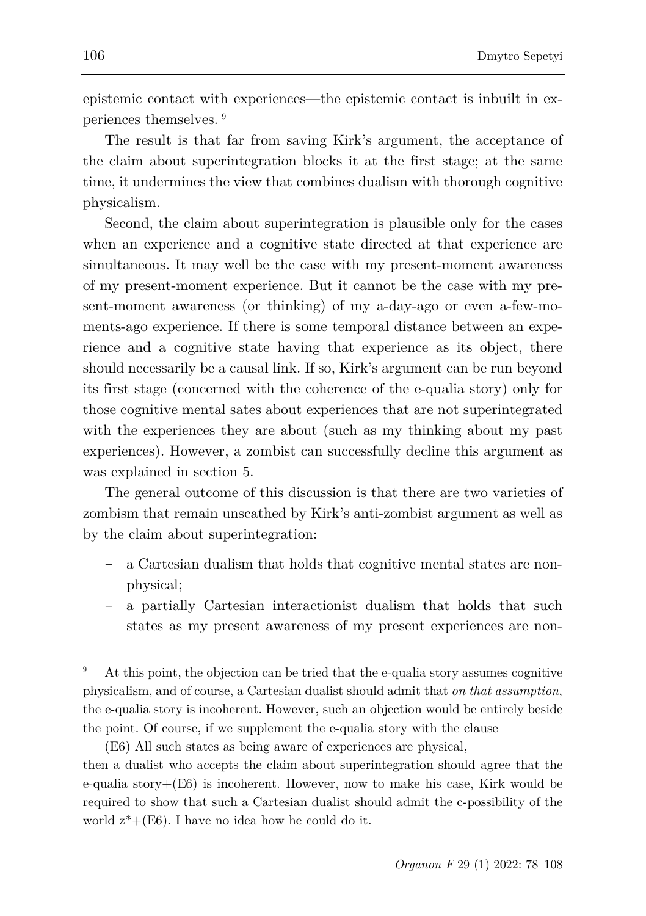epistemic contact with experiences—the epistemic contact is inbuilt in experiences themselves. [9](#page-28-0)

The result is that far from saving Kirk's argument, the acceptance of the claim about superintegration blocks it at the first stage; at the same time, it undermines the view that combines dualism with thorough cognitive physicalism.

Second, the claim about superintegration is plausible only for the cases when an experience and a cognitive state directed at that experience are simultaneous. It may well be the case with my present-moment awareness of my present-moment experience. But it cannot be the case with my present-moment awareness (or thinking) of my a-day-ago or even a-few-moments-ago experience. If there is some temporal distance between an experience and a cognitive state having that experience as its object, there should necessarily be a causal link. If so, Kirk's argument can be run beyond its first stage (concerned with the coherence of the e-qualia story) only for those cognitive mental sates about experiences that are not superintegrated with the experiences they are about (such as my thinking about my past) experiences). However, a zombist can successfully decline this argument as was explained in section 5.

The general outcome of this discussion is that there are two varieties of zombism that remain unscathed by Kirk's anti-zombist argument as well as by the claim about superintegration:

- a Cartesian dualism that holds that cognitive mental states are nonphysical;
- a partially Cartesian interactionist dualism that holds that such states as my present awareness of my present experiences are non-

l

<span id="page-28-0"></span><sup>9</sup> At this point, the objection can be tried that the e-qualia story assumes cognitive physicalism, and of course, a Cartesian dualist should admit that *on that assumption*, the e-qualia story is incoherent. However, such an objection would be entirely beside the point. Of course, if we supplement the e-qualia story with the clause

<sup>(</sup>E6) All such states as being aware of experiences are physical,

then a dualist who accepts the claim about superintegration should agree that the e-qualia story $+(E6)$  is incoherent. However, now to make his case, Kirk would be required to show that such a Cartesian dualist should admit the c-possibility of the world  $z^* + (E6)$ . I have no idea how he could do it.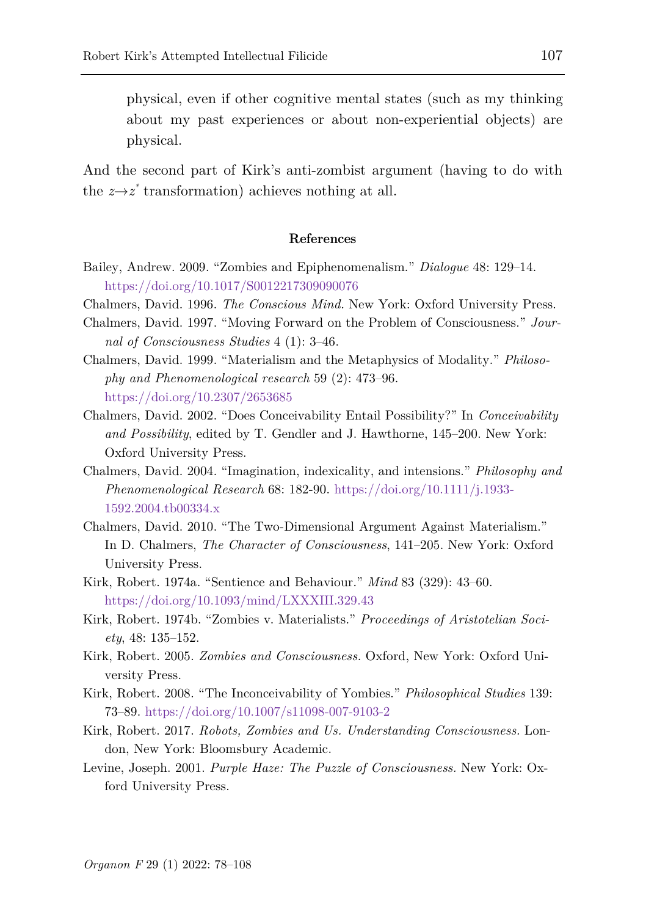physical, even if other cognitive mental states (such as my thinking about my past experiences or about non-experiential objects) are physical.

And the second part of Kirk's anti-zombist argument (having to do with the  $z \rightarrow z^*$  transformation) achieves nothing at all.

#### **References**

- Bailey, Andrew. 2009. "Zombies and Epiphenomenalism." *Dialogue* 48: 129–14. <https://doi.org/10.1017/S0012217309090076>
- Chalmers, David. 1996. *The Conscious Mind.* New York: Oxford University Press.
- Chalmers, David. 1997. "Moving Forward on the Problem of Consciousness." *Journal of Consciousness Studies* 4 (1): 3–46.
- Chalmers, David. 1999. "Materialism and the Metaphysics of Modality." *Philosophy and Phenomenological research* 59 (2): 473–96. <https://doi.org/10.2307/2653685>
- Chalmers, David. 2002. "Does Conceivability Entail Possibility?" In *Conceivability and Possibility*, edited by T. Gendler and J. Hawthorne, 145–200. New York: Oxford University Press.
- Chalmers, David. 2004. "Imagination, indexicality, and intensions." *Philosophy and Phenomenological Research* 68: 182-90. [https://doi.org/10.1111/j.1933-](https://doi.org/10.1111/j.1933-1592.2004.tb00334.x) [1592.2004.tb00334.x](https://doi.org/10.1111/j.1933-1592.2004.tb00334.x)
- Chalmers, David. 2010. "The Two-Dimensional Argument Against Materialism." In D. Chalmers, *The Character of Consciousness*, 141–205. New York: Oxford University Press.
- Kirk, Robert. 1974a. "Sentience and Behaviour." *Mind* 83 (329): 43–60. <https://doi.org/10.1093/mind/LXXXIII.329.43>
- Kirk, Robert. 1974b. "Zombies v. Materialists." *Proceedings of Aristotelian Society*, 48: 135–152.
- Kirk, Robert. 2005. *Zombies and Consciousness.* Oxford, New York: Oxford University Press.
- Kirk, Robert. 2008. "The Inconceivability of Yombies." *Philosophical Studies* 139: 73–89.<https://doi.org/10.1007/s11098-007-9103-2>
- Kirk, Robert. 2017. *Robots, Zombies and Us. Understanding Consciousness.* London, New York: Bloomsbury Academic.
- Levine, Joseph. 2001. *Purple Haze: The Puzzle of Consciousness.* New York: Oxford University Press.